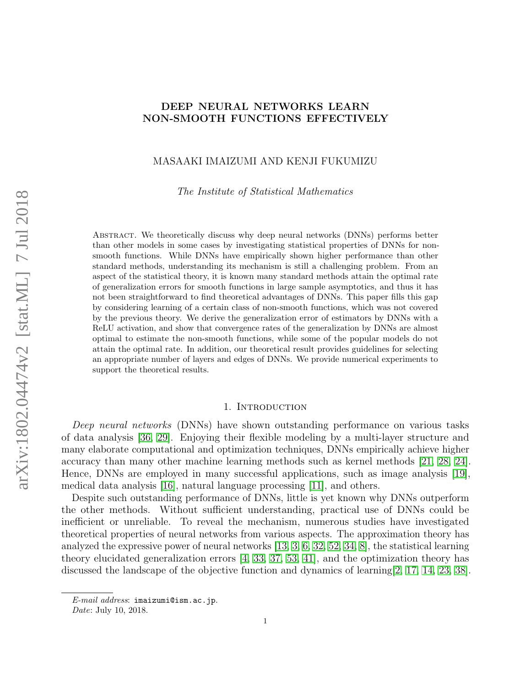# DEEP NEURAL NETWORKS LEARN NON-SMOOTH FUNCTIONS EFFECTIVELY

# MASAAKI IMAIZUMI AND KENJI FUKUMIZU

The Institute of Statistical Mathematics

Abstract. We theoretically discuss why deep neural networks (DNNs) performs better than other models in some cases by investigating statistical properties of DNNs for nonsmooth functions. While DNNs have empirically shown higher performance than other standard methods, understanding its mechanism is still a challenging problem. From an aspect of the statistical theory, it is known many standard methods attain the optimal rate of generalization errors for smooth functions in large sample asymptotics, and thus it has not been straightforward to find theoretical advantages of DNNs. This paper fills this gap by considering learning of a certain class of non-smooth functions, which was not covered by the previous theory. We derive the generalization error of estimators by DNNs with a ReLU activation, and show that convergence rates of the generalization by DNNs are almost optimal to estimate the non-smooth functions, while some of the popular models do not attain the optimal rate. In addition, our theoretical result provides guidelines for selecting an appropriate number of layers and edges of DNNs. We provide numerical experiments to support the theoretical results.

### 1. INTRODUCTION

Deep neural networks (DNNs) have shown outstanding performance on various tasks of data analysis [\[36,](#page-11-0) [29\]](#page-11-1). Enjoying their flexible modeling by a multi-layer structure and many elaborate computational and optimization techniques, DNNs empirically achieve higher accuracy than many other machine learning methods such as kernel methods [\[21,](#page-11-2) [28,](#page-11-3) [24\]](#page-11-4). Hence, DNNs are employed in many successful applications, such as image analysis [\[19\]](#page-11-5), medical data analysis [\[16\]](#page-11-6), natural language processing [\[11\]](#page-10-0), and others.

Despite such outstanding performance of DNNs, little is yet known why DNNs outperform the other methods. Without sufficient understanding, practical use of DNNs could be inefficient or unreliable. To reveal the mechanism, numerous studies have investigated theoretical properties of neural networks from various aspects. The approximation theory has analyzed the expressive power of neural networks [\[13,](#page-10-1) [3,](#page-10-2) [6,](#page-10-3) [32,](#page-11-7) [52,](#page-12-0) [34,](#page-11-8) [8\]](#page-10-4), the statistical learning theory elucidated generalization errors [\[4,](#page-10-5) [33,](#page-11-9) [37,](#page-11-10) [53,](#page-12-1) [41\]](#page-12-2), and the optimization theory has discussed the landscape of the objective function and dynamics of learning [\[2,](#page-10-6) [17,](#page-11-11) [14,](#page-10-7) [23,](#page-11-12) [38\]](#page-11-13).

 $E$ -mail address: imaizumi@ism.ac.jp.

Date: July 10, 2018.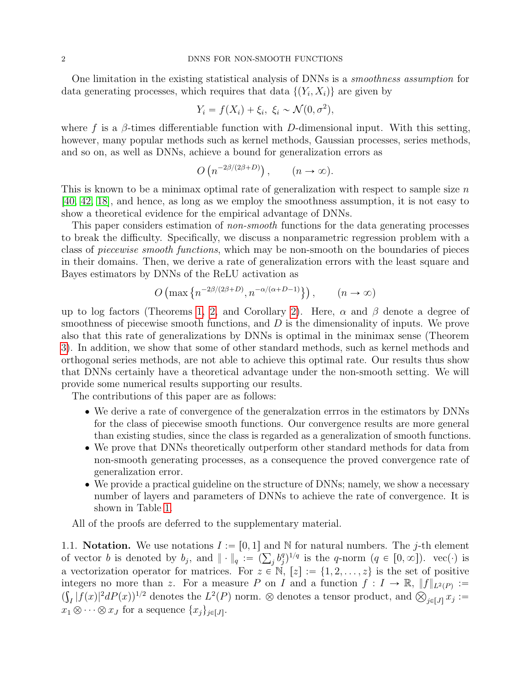One limitation in the existing statistical analysis of DNNs is a smoothness assumption for data generating processes, which requires that data  $\{(Y_i, X_i)\}\$ are given by

$$
Y_i = f(X_i) + \xi_i, \ \xi_i \sim \mathcal{N}(0, \sigma^2),
$$

where f is a  $\beta$ -times differentiable function with D-dimensional input. With this setting, however, many popular methods such as kernel methods, Gaussian processes, series methods, and so on, as well as DNNs, achieve a bound for generalization errors as ` ˘

$$
O(n^{-2\beta/(2\beta+D)}), \quad (n \to \infty).
$$

This is known to be a minimax optimal rate of generalization with respect to sample size  $n$ [\[40,](#page-12-3) [42,](#page-12-4) [18\]](#page-11-14), and hence, as long as we employ the smoothness assumption, it is not easy to show a theoretical evidence for the empirical advantage of DNNs.

This paper considers estimation of non-smooth functions for the data generating processes to break the difficulty. Specifically, we discuss a nonparametric regression problem with a class of piecewise smooth functions, which may be non-smooth on the boundaries of pieces in their domains. Then, we derive a rate of generalization errors with the least square and Bayes estimators by DNNs of the ReLU activation as (˘

$$
O\left(\max\left\{n^{-2\beta/(2\beta+D)}, n^{-\alpha/(\alpha+D-1)}\right\}\right), \qquad (n \to \infty)
$$

up to log factors (Theorems [1,](#page-5-0) [2,](#page-6-0) and Corollary [2\)](#page-6-1). Here,  $\alpha$  and  $\beta$  denote a degree of smoothness of piecewise smooth functions, and D is the dimensionality of inputs. We prove also that this rate of generalizations by DNNs is optimal in the minimax sense (Theorem [3\)](#page-7-0). In addition, we show that some of other standard methods, such as kernel methods and orthogonal series methods, are not able to achieve this optimal rate. Our results thus show that DNNs certainly have a theoretical advantage under the non-smooth setting. We will provide some numerical results supporting our results.

The contributions of this paper are as follows:

- ' We derive a rate of convergence of the generalzation errros in the estimators by DNNs for the class of piecewise smooth functions. Our convergence results are more general than existing studies, since the class is regarded as a generalization of smooth functions.
- ' We prove that DNNs theoretically outperform other standard methods for data from non-smooth generating processes, as a consequence the proved convergence rate of generalization error.
- ' We provide a practical guideline on the structure of DNNs; namely, we show a necessary number of layers and parameters of DNNs to achieve the rate of convergence. It is shown in Table [1.](#page-2-0)

All of the proofs are deferred to the supplementary material.

1.1. Notation. We use notations  $I := [0, 1]$  and N for natural numbers. The j-th element 1.1. **Notation.** We use notations  $I := [0, 1]$  and of vector b is denoted by  $b_j$ , and  $\|\cdot\|_q := (\sum_j b_j^q)$  ${j}^{q}j^{1/q}$  is the q-norm  $(q \in [0,\infty])$ . vec $(\cdot)$  is a vectorization operator for matrices. For  $z \in \mathbb{N}$ ,  $[z] := \{1, 2, \ldots, z\}$  is the set of positive integers no more than z. For a measure P on I and a function  $f: I \to \mathbb{R}, ||f||_{L^2(P)} :=$ integers no more than z. For a measure P on I and a function  $f: I \to \mathbb{R}$ ,  $||f||_{L^2(P)} :=$ <br> $(\int_I |f(x)|^2 dP(x))^{1/2}$  denotes the  $L^2(P)$  norm.  $\otimes$  denotes a tensor product, and  $\bigotimes_{j \in [J]} x_j :=$  $x_1 \otimes \cdots \otimes x_J$  for a sequence  $\{x_j\}_{j \in [J]}$ .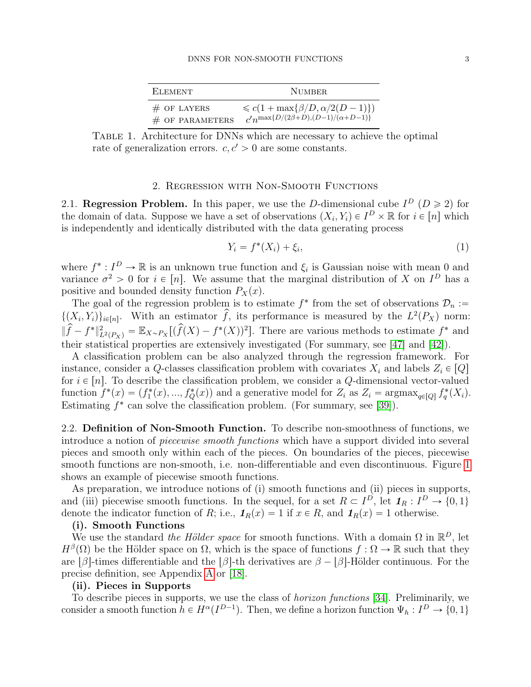<span id="page-2-0"></span>

| ELEMENT.          | NUMBER.                                         |
|-------------------|-------------------------------------------------|
| $#$ OF LAYERS     | $\leq c(1+\max\{\beta/D,\alpha/2(D-1)\})$       |
| $#$ OF PARAMETERS | $c'n^{\max\{D/(2\beta+D),(D-1)/(\alpha+D-1)\}}$ |

Table 1. Architecture for DNNs which are necessary to achieve the optimal rate of generalization errors.  $c, c' > 0$  are some constants.

## 2. Regression with Non-Smooth Functions

2.1. Regression Problem. In this paper, we use the D-dimensional cube  $I^D$  ( $D \ge 2$ ) for the domain of data. Suppose we have a set of observations  $(X_i, Y_i) \in I^D \times \mathbb{R}$  for  $i \in [n]$  which is independently and identically distributed with the data generating process

<span id="page-2-1"></span>
$$
Y_i = f^*(X_i) + \xi_i,\tag{1}
$$

where  $f^*: I^D \to \mathbb{R}$  is an unknown true function and  $\xi_i$  is Gaussian noise with mean 0 and variance  $\sigma^2 > 0$  for  $i \in [n]$ . We assume that the marginal distribution of X on  $I^D$  has a positive and bounded density function  $P_X(x)$ .

The goal of the regression problem is to estimate  $f^*$  from the set of observations  $\mathcal{D}_n :=$  $\{(X_i, Y_i)\}_{i \in [n]}$ . With an estimator  $\hat{f}$ , its performance is measured by the  $L^2(P_X)$  norm:  $\|\widehat{f} - f^*\|_{L^2(P_X)}^2 = \mathbb{E}_{X \sim P_X} [(\widehat{f}(X) - f^*(X))^2].$  There are various methods to estimate  $f^*$  and their statistical properties are extensively investigated (For summary, see [\[47\]](#page-12-5) and [\[42\]](#page-12-4)).

A classification problem can be also analyzed through the regression framework. For instance, consider a Q-classes classification problem with covariates  $X_i$  and labels  $Z_i \in [Q]$ for  $i \in [n]$ . To describe the classification problem, we consider a Q-dimensional vector-valued function  $f^*(x) = (f_1^*(x), ..., f_Q^*(x))$  and a generative model for  $Z_i$  as  $Z_i = \operatorname{argmax}_{q \in [Q]} f_q^*(X_i)$ . Estimating  $f^*$  can solve the classification problem. (For summary, see [\[39\]](#page-11-15)).

2.2. Definition of Non-Smooth Function. To describe non-smoothness of functions, we introduce a notion of piecewise smooth functions which have a support divided into several pieces and smooth only within each of the pieces. On boundaries of the pieces, piecewise smooth functions are non-smooth, i.e. non-differentiable and even discontinuous. Figure [1](#page-3-0) shows an example of piecewise smooth functions.

As preparation, we introduce notions of (i) smooth functions and (ii) pieces in supports, and (iii) piecewise smooth functions. In the sequel, for a set  $R \subset I^D$ , let  $\mathbf{1}_R : I^D \to \{0, 1\}$ denote the indicator function of R; i.e.,  $\mathbf{1}_R(x) = 1$  if  $x \in R$ , and  $\mathbf{1}_R(x) = 1$  otherwise.

# (i). Smooth Functions

We use the standard the Hölder space for smooth functions. With a domain  $\Omega$  in  $\mathbb{R}^D$ , let  $H^{\beta}(\Omega)$  be the Hölder space on  $\Omega$ , which is the space of functions  $f : \Omega \to \mathbb{R}$  such that they are  $\beta$ -times differentiable and the  $\beta$ -th derivatives are  $\beta - \beta$ -Hölder continuous. For the precise definition, see Appendix [A](#page-13-0) or [\[18\]](#page-11-14).

## (ii). Pieces in Supports

To describe pieces in supports, we use the class of horizon functions [\[34\]](#page-11-8). Preliminarily, we consider a smooth function  $h \in H^{\alpha}(I^{D-1})$ . Then, we define a horizon function  $\Psi_h : I^D \to \{0, 1\}$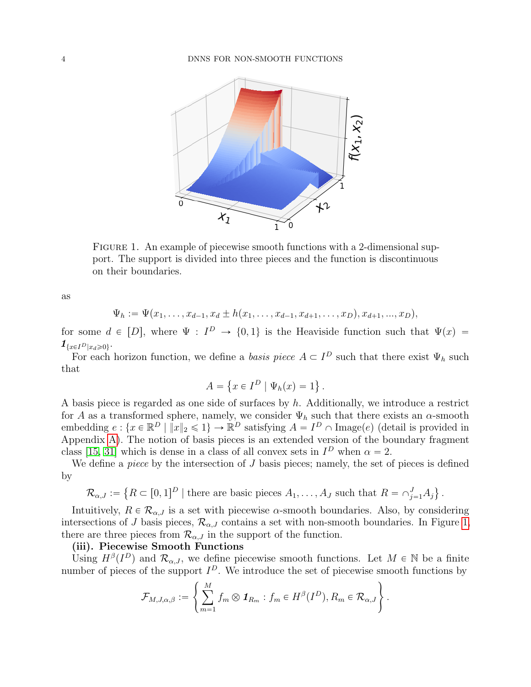

<span id="page-3-0"></span>FIGURE 1. An example of piecewise smooth functions with a 2-dimensional support. The support is divided into three pieces and the function is discontinuous on their boundaries.

as

$$
\Psi_h := \Psi(x_1, \ldots, x_{d-1}, x_d \pm h(x_1, \ldots, x_{d-1}, x_{d+1}, \ldots, x_D), x_{d+1}, \ldots, x_D),
$$

for some  $d \in [D]$ , where  $\Psi : I^D \to \{0,1\}$  is the Heaviside function such that  $\Psi(x) =$  $\mathbf{1}_{\{x\in I^D | x_d \geqslant 0\}}.$ 

For each horizon function, we define a *basis piece*  $A \subset I^D$  such that there exist  $\Psi_h$  such that  $\mathbf{r}$ (

$$
A = \{ x \in I^D \mid \Psi_h(x) = 1 \}.
$$

A basis piece is regarded as one side of surfaces by h. Additionally, we introduce a restrict for A as a transformed sphere, namely, we consider  $\Psi_h$  such that there exists an  $\alpha$ -smooth embedding  $e: \{x \in \mathbb{R}^D \mid ||x||_2 \leq 1\} \to \mathbb{R}^D$  satisfying  $A = I^D \cap \text{Image}(e)$  (detail is provided in Appendix [A\)](#page-13-0). The notion of basis pieces is an extended version of the boundary fragment class [\[15,](#page-11-16) [31\]](#page-11-17) which is dense in a class of all convex sets in  $I<sup>D</sup>$  when  $\alpha = 2$ .

We define a *piece* by the intersection of  $J$  basis pieces; namely, the set of pieces is defined by (

$$
\mathcal{R}_{\alpha,J} := \left\{ R \subset [0,1]^D \mid \text{there are basic pieces } A_1, \dots, A_J \text{ such that } R = \cap_{j=1}^J A_j \right\}.
$$

Intuitively,  $R \in \mathcal{R}_{\alpha,J}$  is a set with piecewise  $\alpha$ -smooth boundaries. Also, by considering intersections of J basis pieces,  $\mathcal{R}_{\alpha,J}$  contains a set with non-smooth boundaries. In Figure [1,](#page-3-0) there are three pieces from  $\mathcal{R}_{\alpha,J}$  in the support of the function.

# (iii). Piecewise Smooth Functions

Using  $H^{\beta}(I^D)$  and  $\mathcal{R}_{\alpha,J}$ , we define piecewise smooth functions. Let  $M \in \mathbb{N}$  be a finite number of pieces of the support  $I^D$ . We introduce the set of piecewise smooth functions by

$$
\mathcal{F}_{M,J,\alpha,\beta} := \left\{ \sum_{m=1}^{M} f_m \otimes \mathbf{1}_{R_m} : f_m \in H^{\beta}(I^D), R_m \in \mathcal{R}_{\alpha,J} \right\}.
$$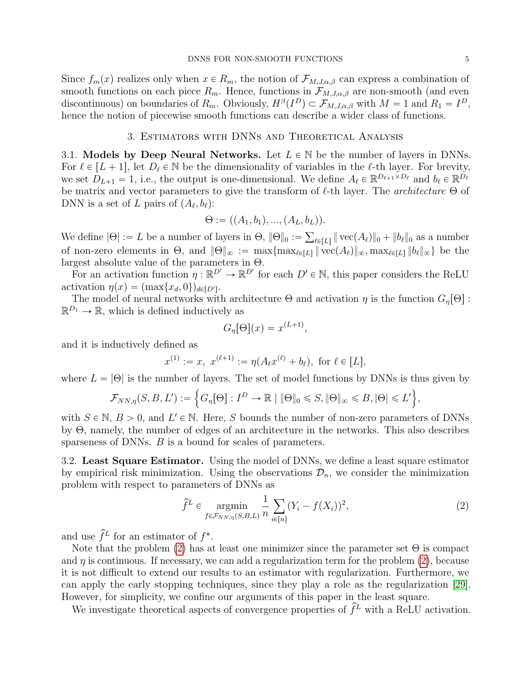Since  $f_m(x)$  realizes only when  $x \in R_m$ , the notion of  $\mathcal{F}_{M,J,\alpha,\beta}$  can express a combination of smooth functions on each piece  $R_m$ . Hence, functions in  $\mathcal{F}_{M,J,\alpha,\beta}$  are non-smooth (and even discontinuous) on boundaries of  $R_m$ . Obviously,  $H^{\beta}(I^D) \subset \mathcal{F}_{M,J,\alpha,\beta}$  with  $M = 1$  and  $R_1 = I^D$ , hence the notion of piecewise smooth functions can describe a wider class of functions.

## 3. Estimators with DNNs and Theoretical Analysis

3.1. Models by Deep Neural Networks. Let  $L \in \mathbb{N}$  be the number of layers in DNNs. For  $\ell \in [L + 1]$ , let  $D_{\ell} \in \mathbb{N}$  be the dimensionality of variables in the  $\ell$ -th layer. For brevity, we set  $D_{L+1} = 1$ , i.e., the output is one-dimensional. We define  $A_\ell \in \mathbb{R}^{D_{\ell+1} \times D_\ell}$  and  $b_\ell \in \mathbb{R}^{D_\ell}$ be matrix and vector parameters to give the transform of  $\ell$ -th layer. The *architecture*  $\Theta$  of DNN is a set of L pairs of  $(A_{\ell}, b_{\ell})$ :

$$
\Theta := ((A_1, b_1), ..., (A_L, b_L)).
$$

We define  $|\Theta| := L$  be a number of layers in  $\Theta$ ,  $\|\Theta\|_0 := \sum_{\ell \in [L]} \|\text{vec}(A_{\ell})\|_0 + \|b_{\ell}\|_0$  as a number of non-zero elements in  $\Theta$ , and  $||\Theta||_{\infty} := \max\{\max_{\ell \in [L]} ||\text{vec}(A_{\ell})||_{\infty}, \max_{\ell \in [L]} ||b_{\ell}||_{\infty}\}\)$  be the largest absolute value of the parameters in Θ.

For an activation function  $\eta : \mathbb{R}^{D'} \to \mathbb{R}^{D'}$  for each  $D' \in \mathbb{N}$ , this paper considers the ReLU activation  $\eta(x) = (\max\{x_d, 0\})_{d \in [D']}$ .

The model of neural networks with architecture  $\Theta$  and activation  $\eta$  is the function  $G_n[\Theta]$ :  $\mathbb{R}^{D_1} \to \mathbb{R}$ , which is defined inductively as

$$
G_{\eta}[\Theta](x) = x^{(L+1)},
$$

and it is inductively defined as

$$
x^{(1)} := x, \ x^{(\ell+1)} := \eta(A_{\ell}x^{(\ell)} + b_{\ell}), \text{ for } \ell \in [L],
$$

where  $L = |\Theta|$  is the number of layers. The set of model functions by DNNs is thus given by

$$
\mathcal{F}_{NN,\eta}(S,B,L') := \left\{ G_{\eta}[\Theta] : I^D \to \mathbb{R} \mid \|\Theta\|_0 \leqslant S, \|\Theta\|_{\infty} \leqslant B, |\Theta| \leqslant L' \right\},\
$$

with  $S \in \mathbb{N}, B > 0$ , and  $L' \in \mathbb{N}$ . Here, S bounds the number of non-zero parameters of DNNs by Θ, namely, the number of edges of an architecture in the networks. This also describes sparseness of DNNs. *B* is a bound for scales of parameters.

3.2. Least Square Estimator. Using the model of DNNs, we define a least square estimator by empirical risk minimization. Using the observations  $\mathcal{D}_n$ , we consider the minimization problem with respect to parameters of DNNs as

<span id="page-4-0"></span>
$$
\hat{f}^L \in \underset{f \in \mathcal{F}_{NN,\eta}(S,B,L)}{\operatorname{argmin}} \frac{1}{n} \sum_{i \in [n]} (Y_i - f(X_i))^2,
$$
\n(2)

and use  $\hat{f}^L$  for an estimator of  $f^*$ .

Note that the problem [\(2\)](#page-4-0) has at least one minimizer since the parameter set  $\Theta$  is compact and  $\eta$  is continuous. If necessary, we can add a regularization term for the problem [\(2\)](#page-4-0), because it is not difficult to extend our results to an estimator with regularization. Furthermore, we can apply the early stopping techniques, since they play a role as the regularization [\[29\]](#page-11-1). However, for simplicity, we confine our arguments of this paper in the least square.

We investigate theoretical aspects of convergence properties of  $\hat{f}^L$  with a ReLU activation.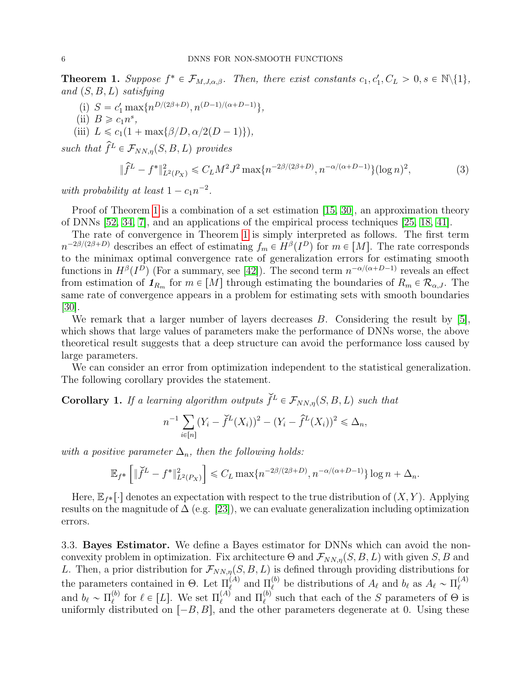<span id="page-5-0"></span>**Theorem 1.** Suppose  $f^* \in \mathcal{F}_{M,J,\alpha,\beta}$ . Then, there exist constants  $c_1, c'_1, C_L > 0, s \in \mathbb{N}\backslash\{1\}$ , and  $(S, B, L)$  satisfying

- (i)  $S = c'_1 \max\{n^{D/(2\beta+D)}, n^{(D-1)/(\alpha+D-1)}\},$
- (ii)  $B \geqslant c_1 n^s$ ,
- (iii)  $L \leq c_1(1 + \max\{\beta/D, \alpha/2(D-1)\}),$

such that  $\hat{f}^L \in \mathcal{F}_{NN,n}(S, B, L)$  provides

$$
\|\hat{f}^L - f^*\|_{L^2(P_X)}^2 \le C_L M^2 J^2 \max\{n^{-2\beta/(2\beta + D)}, n^{-\alpha/(\alpha + D - 1)}\} (\log n)^2,\tag{3}
$$

with probability at least  $1 - c_1 n^{-2}$ .

Proof of Theorem [1](#page-5-0) is a combination of a set estimation [\[15,](#page-11-16) [30\]](#page-11-18), an approximation theory of DNNs [\[52,](#page-12-0) [34,](#page-11-8) [7\]](#page-10-8), and an applications of the empirical process techniques [\[25,](#page-11-19) [18,](#page-11-14) [41\]](#page-12-2).

The rate of convergence in Theorem [1](#page-5-0) is simply interpreted as follows. The first term  $n^{-2\beta/(2\beta+D)}$  describes an effect of estimating  $f_m \in H^{\beta}(I^D)$  for  $m \in [M]$ . The rate corresponds to the minimax optimal convergence rate of generalization errors for estimating smooth functions in  $H^{\beta}(I^D)$  (For a summary, see [\[42\]](#page-12-4)). The second term  $n^{-\alpha/(\alpha+D-1)}$  reveals an effect from estimation of  $\mathcal{I}_{R_m}$  for  $m \in [M]$  through estimating the boundaries of  $R_m \in \mathcal{R}_{\alpha,J}$ . The same rate of convergence appears in a problem for estimating sets with smooth boundaries [\[30\]](#page-11-18).

We remark that a larger number of layers decreases B. Considering the result by [\[5\]](#page-10-9), which shows that large values of parameters make the performance of DNNs worse, the above theoretical result suggests that a deep structure can avoid the performance loss caused by large parameters.

We can consider an error from optimization independent to the statistical generalization. The following corollary provides the statement.

**Corollary 1.** If a learning algorithm outputs  $\check{f}^L \in \mathcal{F}_{NN,\eta}(S, B, L)$  such that

$$
n^{-1} \sum_{i \in [n]} (Y_i - \check{f}^L(X_i))^2 - (Y_i - \hat{f}^L(X_i))^2 \leq \Delta_n,
$$

with a positive parameter  $\Delta_n$ , then the following holds:  $\overline{\phantom{a}}$ 

$$
\mathbb{E}_{f^*}\left[\|\check{f}^L - f^*\|_{L^2(P_X)}^2\right] \leq C_L \max\{n^{-2\beta/(2\beta+D)}, n^{-\alpha/(\alpha+D-1)}\}\log n + \Delta_n.
$$

Here,  $\mathbb{E}_{f^*}[\cdot]$  denotes an expectation with respect to the true distribution of  $(X, Y)$ . Applying results on the magnitude of  $\Delta$  (e.g. [\[23\]](#page-11-12)), we can evaluate generalization including optimization errors.

3.3. Bayes Estimator. We define a Bayes estimator for DNNs which can avoid the nonconvexity problem in optimization. Fix architecture  $\Theta$  and  $\mathcal{F}_{NN,\eta}(S, B, L)$  with given S, B and L. Then, a prior distribution for  $\mathcal{F}_{NN,\eta}(S, B, L)$  is defined through providing distributions for the parameters contained in  $\Theta$ . Let  $\Pi_{\ell}^{(A)}$  and  $\Pi_{\ell}^{(b)}$  be distributions of  $A_{\ell}$  and  $b_{\ell}$  as  $A_{\ell} \sim \Pi_{\ell}^{(A)}$  $\ell$ and  $b_{\ell} \sim \Pi_{\ell}^{(b)}$ <sup>(b)</sup> for  $\ell \in [L]$ . We set  $\Pi_{\ell}^{(A)}$  and  $\Pi_{\ell}^{(b)}$  such that each of the S parameters of  $\Theta$  is uniformly distributed on  $[-B, B]$ , and the other parameters degenerate at 0. Using these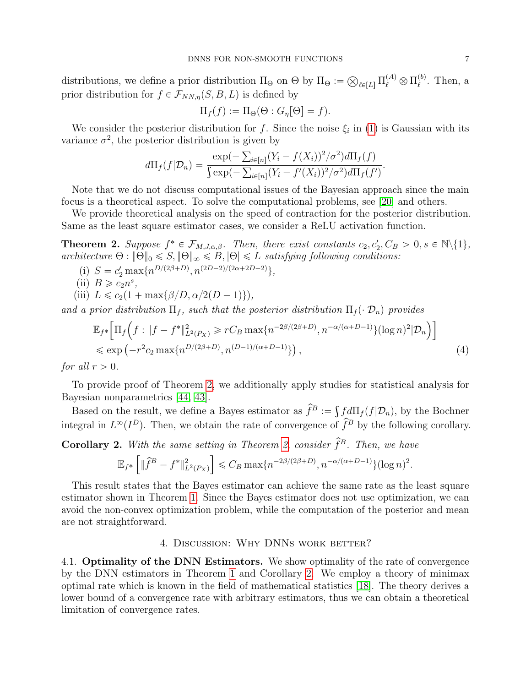distributions, we define a prior distribution  $\Pi_{\Theta}$  on  $\Theta$  by  $\Pi_{\Theta}$  :=  $_{\ell\in [L]} \, \Pi^{(A)}_\ell \otimes \Pi^{(b)}_\ell$  $_{\ell}^{\left( o\right) }$ . Then, a prior distribution for  $f \in \mathcal{F}_{NN,\eta}(S, B, L)$  is defined by

$$
\Pi_f(f) := \Pi_{\Theta}(\Theta : G_{\eta}[\Theta] = f).
$$

We consider the posterior distribution for f. Since the noise  $\xi_i$  in [\(1\)](#page-2-1) is Gaussian with its variance  $\sigma^2$ , the posterior distribution is given by<br>  $\exp(-\sum_{i\in[n]} (Y_i$ 

$$
d\Pi_f(f|\mathcal{D}_n) = \frac{\exp(-\sum_{i\in[n]} (Y_i - f(X_i))^2/\sigma^2) d\Pi_f(f)}{\int \exp(-\sum_{i\in[n]} (Y_i - f'(X_i))^2/\sigma^2) d\Pi_f(f')}.
$$

Note that we do not discuss computational issues of the Bayesian approach since the main focus is a theoretical aspect. To solve the computational problems, see [\[20\]](#page-11-20) and others.

We provide theoretical analysis on the speed of contraction for the posterior distribution. Same as the least square estimator cases, we consider a ReLU activation function.

<span id="page-6-0"></span>**Theorem 2.** Suppose  $f^* \in \mathcal{F}_{M,J,\alpha,\beta}$ . Then, there exist constants  $c_2, c'_2, C_B > 0, s \in \mathbb{N}\setminus\{1\}$ , architecture  $\Theta$  :  $\|\Theta\|_0 \leqslant S$ ,  $\|\Theta\|_{\infty} \leqslant B$ ,  $|\Theta| \leqslant L$  satisfying following conditions:

- (i)  $S = c'_2 \max\{n^{D/(2\beta+D)}, n^{(2D-2)/(2\alpha+2D-2)}\},$
- (ii)  $B \ge c_2 n^s$ ,
- (iii)  $L \leqslant c_2(1 + \max\{\beta/D, \alpha/2(D 1)\}),$

and a prior distribution  $\Pi_f$ , such that the posterior distribution  $\Pi_f(\cdot|\mathcal{D}_n)$  provides

$$
\mathbb{E}_{f^*} \Big[ \Pi_f \Big( f : \|f - f^*\|_{L^2(P_X)}^2 \ge r C_B \max\{n^{-2\beta/(2\beta + D)}, n^{-\alpha/(\alpha + D - 1)}\} (\log n)^2 | \mathcal{D}_n \Big) \Big] \le \exp \Big( -r^2 c_2 \max\{n^{D/(2\beta + D)}, n^{(D-1)/(\alpha + D - 1)}\} \Big), \tag{4}
$$

for all  $r > 0$ .

To provide proof of Theorem [2,](#page-6-0) we additionally apply studies for statistical analysis for Bayesian nonparametrics [\[44,](#page-12-6) [43\]](#page-12-7).

iyesian nonparametrics [44, 43].<br>Based on the result, we define a Bayes estimator as  $\widehat{f}^B := \int$  $fd\Pi_f(f|\mathcal{D}_n)$ , by the Bochner integral in  $L^{\infty}(I^D)$ . Then, we obtain the rate of convergence of  $\hat{f}^B$  by the following corollary.

<span id="page-6-1"></span>**Corollary 2.** With the same setting in Theorem [2,](#page-6-0) consider  $\hat{f}^B$ . Then, we have

$$
\mathbb{E}_{f^*}\left[\|\hat{f}^B - f^*\|_{L^2(P_X)}^2\right] \leq C_B \max\{n^{-2\beta/(2\beta+D)}, n^{-\alpha/(\alpha+D-1)}\} (\log n)^2.
$$

This result states that the Bayes estimator can achieve the same rate as the least square estimator shown in Theorem [1.](#page-5-0) Since the Bayes estimator does not use optimization, we can avoid the non-convex optimization problem, while the computation of the posterior and mean are not straightforward.

# 4. DISCUSSION: WHY DNNS WORK BETTER?

4.1. Optimality of the DNN Estimators. We show optimality of the rate of convergence by the DNN estimators in Theorem [1](#page-5-0) and Corollary [2.](#page-6-1) We employ a theory of minimax optimal rate which is known in the field of mathematical statistics [\[18\]](#page-11-14). The theory derives a lower bound of a convergence rate with arbitrary estimators, thus we can obtain a theoretical limitation of convergence rates.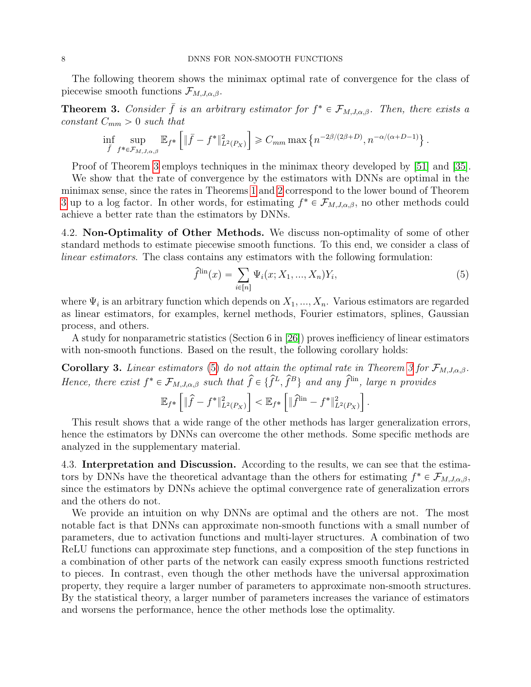The following theorem shows the minimax optimal rate of convergence for the class of piecewise smooth functions  $\mathcal{F}_{M,J,\alpha,\beta}$ .

<span id="page-7-0"></span>**Theorem 3.** Consider  $\bar{f}$  is an arbitrary estimator for  $f^* \in \mathcal{F}_{M,J,\alpha,\beta}$ . Then, there exists a  $constant C_{mm} > 0 \text{ such that}$ ı

$$
\inf_{\bar{f}} \sup_{f^* \in \mathcal{F}_{M,J,\alpha,\beta}} \mathbb{E}_{f^*} \left[ \|\bar{f} - f^*\|_{L^2(P_X)}^2 \right] \geq C_{mm} \max \left\{ n^{-2\beta/(2\beta+D)}, n^{-\alpha/(\alpha+D-1)} \right\}.
$$

Proof of Theorem [3](#page-7-0) employs techniques in the minimax theory developed by [\[51\]](#page-12-8) and [\[35\]](#page-11-21).

We show that the rate of convergence by the estimators with DNNs are optimal in the minimax sense, since the rates in Theorems [1](#page-5-0) and [2](#page-6-0) correspond to the lower bound of Theorem [3](#page-7-0) up to a log factor. In other words, for estimating  $f^* \in \mathcal{F}_{M,J,\alpha,\beta}$ , no other methods could achieve a better rate than the estimators by DNNs.

4.2. Non-Optimality of Other Methods. We discuss non-optimality of some of other standard methods to estimate piecewise smooth functions. To this end, we consider a class of linear estimators. The class contains any estimators with the following formulation:<br> $\hat{f}^{\text{lin}}(x) = \sum_{i} \Psi_i(x; X_1, ..., X_n) Y_i$ ,

<span id="page-7-1"></span>
$$
\hat{f}^{\text{lin}}(x) = \sum_{i \in [n]} \Psi_i(x; X_1, ..., X_n) Y_i,
$$
\n(5)

where  $\Psi_i$  is an arbitrary function which depends on  $X_1, ..., X_n$ . Various estimators are regarded as linear estimators, for examples, kernel methods, Fourier estimators, splines, Gaussian process, and others.

A study for nonparametric statistics (Section 6 in [\[26\]](#page-11-22)) proves inefficiency of linear estimators with non-smooth functions. Based on the result, the following corollary holds:

**Corollary [3](#page-7-0).** Linear estimators [\(5\)](#page-7-1) do not attain the optimal rate in Theorem 3 for  $\mathcal{F}_{M,J,\alpha,\beta}$ . Hence, there exist  $f^* \in \mathcal{F}_{M,J,\alpha,\beta}$  such that  $\hat{f} \in \{\hat{f}^L, \hat{f}^B\}$  and any  $\hat{f}^{\text{lin}}$ , large n provides

$$
\mathbb{E}_{f^*}\left[\|\widehat{f} - f^*\|_{L^2(P_X)}^2\right] < \mathbb{E}_{f^*}\left[\|\widehat{f}^{\text{lin}} - f^*\|_{L^2(P_X)}^2\right].
$$

This result shows that a wide range of the other methods has larger generalization errors, hence the estimators by DNNs can overcome the other methods. Some specific methods are analyzed in the supplementary material.

4.3. Interpretation and Discussion. According to the results, we can see that the estimators by DNNs have the theoretical advantage than the others for estimating  $f^* \in \mathcal{F}_{M,J,\alpha,\beta}$ , since the estimators by DNNs achieve the optimal convergence rate of generalization errors and the others do not.

We provide an intuition on why DNNs are optimal and the others are not. The most notable fact is that DNNs can approximate non-smooth functions with a small number of parameters, due to activation functions and multi-layer structures. A combination of two ReLU functions can approximate step functions, and a composition of the step functions in a combination of other parts of the network can easily express smooth functions restricted to pieces. In contrast, even though the other methods have the universal approximation property, they require a larger number of parameters to approximate non-smooth structures. By the statistical theory, a larger number of parameters increases the variance of estimators and worsens the performance, hence the other methods lose the optimality.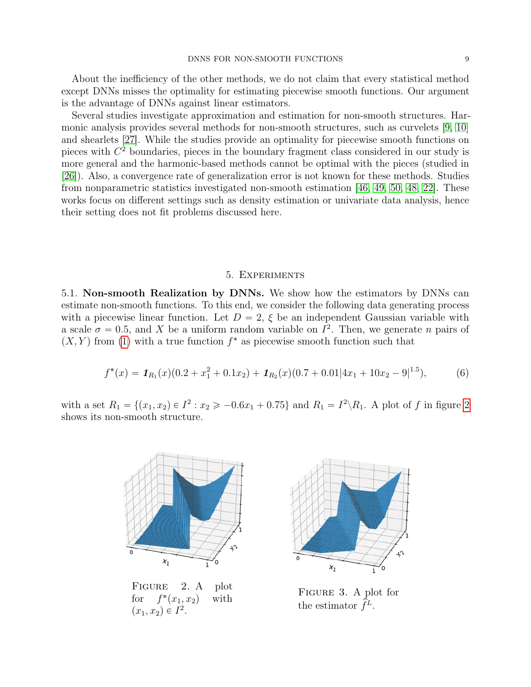About the inefficiency of the other methods, we do not claim that every statistical method except DNNs misses the optimality for estimating piecewise smooth functions. Our argument is the advantage of DNNs against linear estimators.

Several studies investigate approximation and estimation for non-smooth structures. Harmonic analysis provides several methods for non-smooth structures, such as curvelets [\[9,](#page-10-10) [10\]](#page-10-11) and shearlets [\[27\]](#page-11-23). While the studies provide an optimality for piecewise smooth functions on pieces with  $C<sup>2</sup>$  boundaries, pieces in the boundary fragment class considered in our study is more general and the harmonic-based methods cannot be optimal with the pieces (studied in [\[26\]](#page-11-22)). Also, a convergence rate of generalization error is not known for these methods. Studies from nonparametric statistics investigated non-smooth estimation [\[46,](#page-12-9) [49,](#page-12-10) [50,](#page-12-11) [48,](#page-12-12) [22\]](#page-11-24). These works focus on different settings such as density estimation or univariate data analysis, hence their setting does not fit problems discussed here.

#### 5. Experiments

<span id="page-8-2"></span>5.1. Non-smooth Realization by DNNs. We show how the estimators by DNNs can estimate non-smooth functions. To this end, we consider the following data generating process with a piecewise linear function. Let  $D = 2$ ,  $\xi$  be an independent Gaussian variable with a scale  $\sigma = 0.5$ , and X be a uniform random variable on  $I^2$ . Then, we generate n pairs of  $(X, Y)$  from [\(1\)](#page-2-1) with a true function  $f^*$  as piecewise smooth function such that

$$
f^*(x) = \mathbf{1}_{R_1}(x)(0.2 + x_1^2 + 0.1x_2) + \mathbf{1}_{R_2}(x)(0.7 + 0.01|4x_1 + 10x_2 - 9|^{1.5}),
$$
(6)

with a set  $R_1 = \{(x_1, x_2) \in I^2 : x_2 \ge -0.6x_1 + 0.75\}$  and  $R_1 = I^2 \backslash R_1$ . A plot of f in figure [2](#page-8-0) shows its non-smooth structure.



<span id="page-8-0"></span>FIGURE 2. A plot for  $f^*(x_1, x_2)$  with  $(x_1, x_2) \in I^2$ .

<span id="page-8-3"></span>

<span id="page-8-1"></span>Figure 3. A plot for the estimator  $\hat{f}^L$ .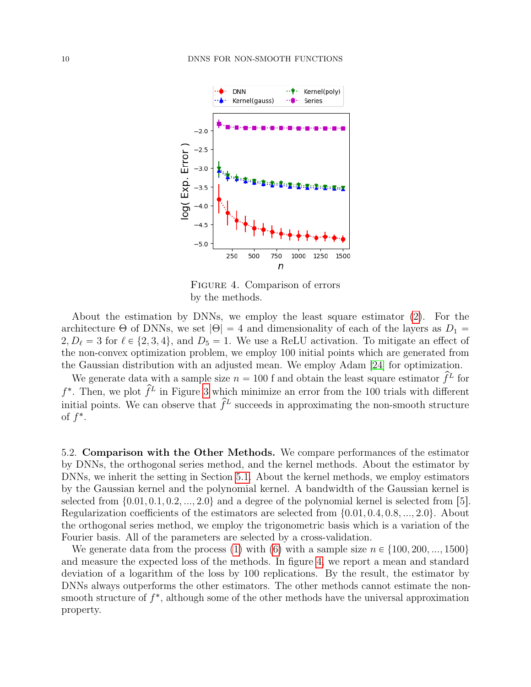

<span id="page-9-0"></span>Figure 4. Comparison of errors by the methods.

About the estimation by DNNs, we employ the least square estimator [\(2\)](#page-4-0). For the architecture  $\Theta$  of DNNs, we set  $|\Theta| = 4$  and dimensionality of each of the layers as  $D_1 =$  $2, D_{\ell} = 3$  for  $\ell \in \{2, 3, 4\}$ , and  $D_5 = 1$ . We use a ReLU activation. To mitigate an effect of the non-convex optimization problem, we employ 100 initial points which are generated from the Gaussian distribution with an adjusted mean. We employ Adam [\[24\]](#page-11-4) for optimization.

We generate data with a sample size  $n = 100$  f and obtain the least square estimator  $\hat{f}^L$  for  $f^*$ . Then, we plot  $\hat{f}^L$  in Figure [3](#page-8-1) which minimize an error from the 100 trials with different initial points. We can observe that  $\hat{f}^L$  succeeds in approximating the non-smooth structure of  $f^*$ .

5.2. Comparison with the Other Methods. We compare performances of the estimator by DNNs, the orthogonal series method, and the kernel methods. About the estimator by DNNs, we inherit the setting in Section [5.1.](#page-8-2) About the kernel methods, we employ estimators by the Gaussian kernel and the polynomial kernel. A bandwidth of the Gaussian kernel is selected from  $\{0.01, 0.1, 0.2, ..., 2.0\}$  and a degree of the polynomial kernel is selected from [5]. Regularization coefficients of the estimators are selected from  $\{0.01, 0.4, 0.8, ..., 2.0\}$ . About the orthogonal series method, we employ the trigonometric basis which is a variation of the Fourier basis. All of the parameters are selected by a cross-validation.

We generate data from the process [\(1\)](#page-2-1) with [\(6\)](#page-8-3) with a sample size  $n \in \{100, 200, ..., 1500\}$ and measure the expected loss of the methods. In figure [4,](#page-9-0) we report a mean and standard deviation of a logarithm of the loss by 100 replications. By the result, the estimator by DNNs always outperforms the other estimators. The other methods cannot estimate the nonsmooth structure of  $f^*$ , although some of the other methods have the universal approximation property.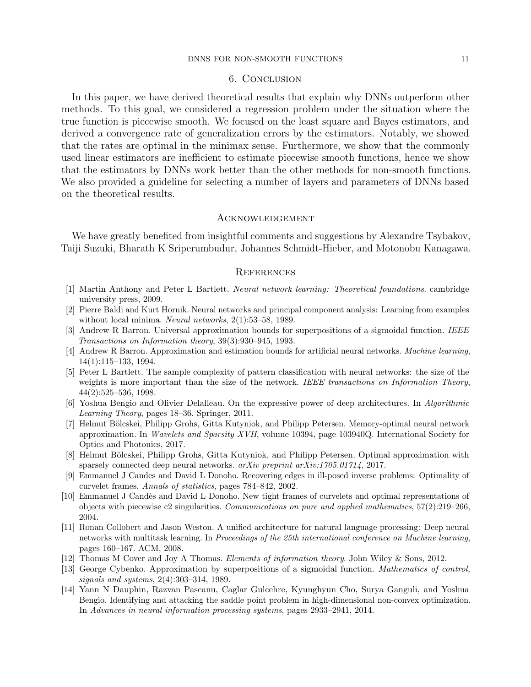#### DNNS FOR NON-SMOOTH FUNCTIONS 11

## 6. Conclusion

In this paper, we have derived theoretical results that explain why DNNs outperform other methods. To this goal, we considered a regression problem under the situation where the true function is piecewise smooth. We focused on the least square and Bayes estimators, and derived a convergence rate of generalization errors by the estimators. Notably, we showed that the rates are optimal in the minimax sense. Furthermore, we show that the commonly used linear estimators are inefficient to estimate piecewise smooth functions, hence we show that the estimators by DNNs work better than the other methods for non-smooth functions. We also provided a guideline for selecting a number of layers and parameters of DNNs based on the theoretical results.

#### Acknowledgement

We have greatly benefited from insightful comments and suggestions by Alexandre Tsybakov, Taiji Suzuki, Bharath K Sriperumbudur, Johannes Schmidt-Hieber, and Motonobu Kanagawa.

## **REFERENCES**

- <span id="page-10-12"></span>[1] Martin Anthony and Peter L Bartlett. Neural network learning: Theoretical foundations. cambridge university press, 2009.
- <span id="page-10-6"></span>[2] Pierre Baldi and Kurt Hornik. Neural networks and principal component analysis: Learning from examples without local minima. Neural networks, 2(1):53–58, 1989.
- <span id="page-10-2"></span>[3] Andrew R Barron. Universal approximation bounds for superpositions of a sigmoidal function. IEEE Transactions on Information theory, 39(3):930–945, 1993.
- <span id="page-10-5"></span>[4] Andrew R Barron. Approximation and estimation bounds for artificial neural networks. Machine learning, 14(1):115–133, 1994.
- <span id="page-10-9"></span>[5] Peter L Bartlett. The sample complexity of pattern classification with neural networks: the size of the weights is more important than the size of the network. IEEE transactions on Information Theory, 44(2):525–536, 1998.
- <span id="page-10-3"></span>[6] Yoshua Bengio and Olivier Delalleau. On the expressive power of deep architectures. In Algorithmic Learning Theory, pages 18–36. Springer, 2011.
- <span id="page-10-8"></span>[7] Helmut Bölcskei, Philipp Grohs, Gitta Kutyniok, and Philipp Petersen. Memory-optimal neural network approximation. In Wavelets and Sparsity XVII, volume 10394, page 103940Q. International Society for Optics and Photonics, 2017.
- <span id="page-10-4"></span>[8] Helmut Bölcskei, Philipp Grohs, Gitta Kutyniok, and Philipp Petersen. Optimal approximation with sparsely connected deep neural networks. arXiv preprint arXiv:1705.01714, 2017.
- <span id="page-10-10"></span>[9] Emmanuel J Candes and David L Donoho. Recovering edges in ill-posed inverse problems: Optimality of curvelet frames. Annals of statistics, pages 784–842, 2002.
- <span id="page-10-11"></span>[10] Emmanuel J Cand`es and David L Donoho. New tight frames of curvelets and optimal representations of objects with piecewise c2 singularities. Communications on pure and applied mathematics,  $57(2):219-266$ , 2004.
- <span id="page-10-0"></span>[11] Ronan Collobert and Jason Weston. A unified architecture for natural language processing: Deep neural networks with multitask learning. In Proceedings of the 25th international conference on Machine learning, pages 160–167. ACM, 2008.
- <span id="page-10-13"></span>[12] Thomas M Cover and Joy A Thomas. *Elements of information theory*. John Wiley & Sons, 2012.
- <span id="page-10-1"></span>[13] George Cybenko. Approximation by superpositions of a sigmoidal function. Mathematics of control, signals and systems, 2(4):303–314, 1989.
- <span id="page-10-7"></span>[14] Yann N Dauphin, Razvan Pascanu, Caglar Gulcehre, Kyunghyun Cho, Surya Ganguli, and Yoshua Bengio. Identifying and attacking the saddle point problem in high-dimensional non-convex optimization. In Advances in neural information processing systems, pages 2933–2941, 2014.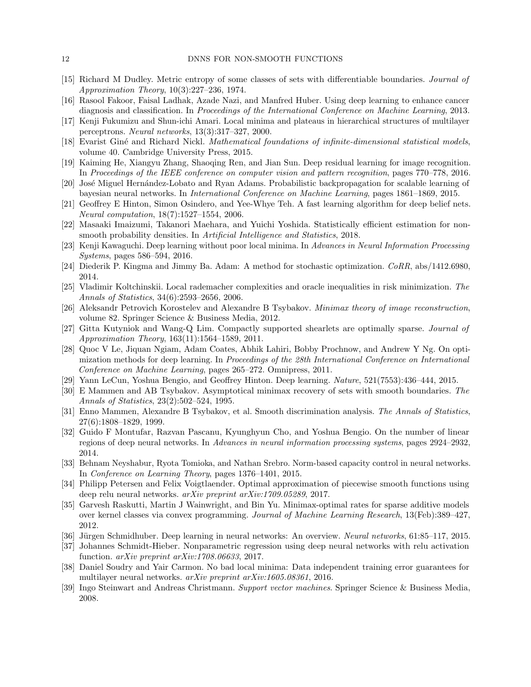- <span id="page-11-16"></span>[15] Richard M Dudley. Metric entropy of some classes of sets with differentiable boundaries. Journal of Approximation Theory, 10(3):227–236, 1974.
- <span id="page-11-6"></span>[16] Rasool Fakoor, Faisal Ladhak, Azade Nazi, and Manfred Huber. Using deep learning to enhance cancer diagnosis and classification. In Proceedings of the International Conference on Machine Learning, 2013.
- <span id="page-11-11"></span>[17] Kenji Fukumizu and Shun-ichi Amari. Local minima and plateaus in hierarchical structures of multilayer perceptrons. Neural networks, 13(3):317–327, 2000.
- <span id="page-11-14"></span>[18] Evarist Giné and Richard Nickl. *Mathematical foundations of infinite-dimensional statistical models*, volume 40. Cambridge University Press, 2015.
- <span id="page-11-5"></span>[19] Kaiming He, Xiangyu Zhang, Shaoqing Ren, and Jian Sun. Deep residual learning for image recognition. In Proceedings of the IEEE conference on computer vision and pattern recognition, pages 770–778, 2016.
- <span id="page-11-20"></span>[20] José Miguel Hernández-Lobato and Ryan Adams. Probabilistic backpropagation for scalable learning of bayesian neural networks. In International Conference on Machine Learning, pages 1861–1869, 2015.
- <span id="page-11-2"></span>[21] Geoffrey E Hinton, Simon Osindero, and Yee-Whye Teh. A fast learning algorithm for deep belief nets. Neural computation, 18(7):1527–1554, 2006.
- <span id="page-11-24"></span>[22] Masaaki Imaizumi, Takanori Maehara, and Yuichi Yoshida. Statistically efficient estimation for nonsmooth probability densities. In *Artificial Intelligence and Statistics*, 2018.
- <span id="page-11-12"></span>[23] Kenji Kawaguchi. Deep learning without poor local minima. In Advances in Neural Information Processing Systems, pages 586–594, 2016.
- <span id="page-11-4"></span>[24] Diederik P. Kingma and Jimmy Ba. Adam: A method for stochastic optimization. CoRR, abs/1412.6980, 2014.
- <span id="page-11-19"></span>[25] Vladimir Koltchinskii. Local rademacher complexities and oracle inequalities in risk minimization. The Annals of Statistics, 34(6):2593–2656, 2006.
- <span id="page-11-22"></span>[26] Aleksandr Petrovich Korostelev and Alexandre B Tsybakov. Minimax theory of image reconstruction, volume 82. Springer Science & Business Media, 2012.
- <span id="page-11-23"></span>[27] Gitta Kutyniok and Wang-Q Lim. Compactly supported shearlets are optimally sparse. Journal of Approximation Theory, 163(11):1564–1589, 2011.
- <span id="page-11-3"></span>[28] Quoc V Le, Jiquan Ngiam, Adam Coates, Abhik Lahiri, Bobby Prochnow, and Andrew Y Ng. On optimization methods for deep learning. In Proceedings of the 28th International Conference on International Conference on Machine Learning, pages 265–272. Omnipress, 2011.
- <span id="page-11-1"></span>[29] Yann LeCun, Yoshua Bengio, and Geoffrey Hinton. Deep learning. Nature, 521(7553):436–444, 2015.
- <span id="page-11-18"></span>[30] E Mammen and AB Tsybakov. Asymptotical minimax recovery of sets with smooth boundaries. The Annals of Statistics, 23(2):502–524, 1995.
- <span id="page-11-17"></span>[31] Enno Mammen, Alexandre B Tsybakov, et al. Smooth discrimination analysis. The Annals of Statistics, 27(6):1808–1829, 1999.
- <span id="page-11-7"></span>[32] Guido F Montufar, Razvan Pascanu, Kyunghyun Cho, and Yoshua Bengio. On the number of linear regions of deep neural networks. In Advances in neural information processing systems, pages 2924–2932, 2014.
- <span id="page-11-9"></span>[33] Behnam Neyshabur, Ryota Tomioka, and Nathan Srebro. Norm-based capacity control in neural networks. In Conference on Learning Theory, pages 1376–1401, 2015.
- <span id="page-11-8"></span>[34] Philipp Petersen and Felix Voigtlaender. Optimal approximation of piecewise smooth functions using deep relu neural networks. arXiv preprint arXiv:1709.05289, 2017.
- <span id="page-11-21"></span>[35] Garvesh Raskutti, Martin J Wainwright, and Bin Yu. Minimax-optimal rates for sparse additive models over kernel classes via convex programming. Journal of Machine Learning Research, 13(Feb):389–427, 2012.
- <span id="page-11-0"></span>[36] Jürgen Schmidhuber. Deep learning in neural networks: An overview. Neural networks, 61:85–117, 2015.
- <span id="page-11-10"></span>[37] Johannes Schmidt-Hieber. Nonparametric regression using deep neural networks with relu activation function.  $arXiv$  preprint  $arXiv:1708.06633$ , 2017.
- <span id="page-11-13"></span>[38] Daniel Soudry and Yair Carmon. No bad local minima: Data independent training error guarantees for multilayer neural networks. arXiv preprint arXiv:1605.08361, 2016.
- <span id="page-11-15"></span>[39] Ingo Steinwart and Andreas Christmann. Support vector machines. Springer Science & Business Media, 2008.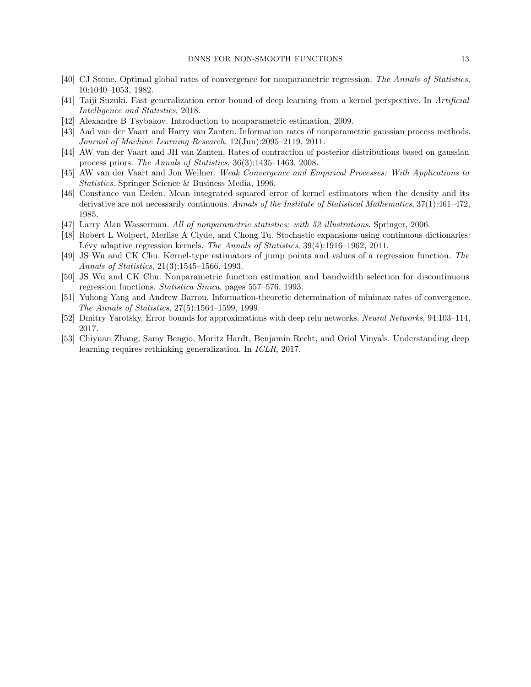- <span id="page-12-3"></span>[40] CJ Stone. Optimal global rates of convergence for nonparametric regression. The Annals of Statistics, 10:1040–1053, 1982.
- <span id="page-12-2"></span>[41] Taiji Suzuki. Fast generalization error bound of deep learning from a kernel perspective. In Artificial Intelligence and Statistics, 2018.
- <span id="page-12-4"></span>[42] Alexandre B Tsybakov. Introduction to nonparametric estimation, 2009.
- <span id="page-12-7"></span>[43] Aad van der Vaart and Harry van Zanten. Information rates of nonparametric gaussian process methods. Journal of Machine Learning Research, 12(Jun):2095–2119, 2011.
- <span id="page-12-6"></span>[44] AW van der Vaart and JH van Zanten. Rates of contraction of posterior distributions based on gaussian process priors. The Annals of Statistics, 36(3):1435–1463, 2008.
- <span id="page-12-13"></span>[45] AW van der Vaart and Jon Wellner. Weak Convergence and Empirical Processes: With Applications to Statistics. Springer Science & Business Media, 1996.
- <span id="page-12-9"></span>[46] Constance van Eeden. Mean integrated squared error of kernel estimators when the density and its derivative are not necessarily continuous. Annals of the Institute of Statistical Mathematics, 37(1):461–472, 1985.
- <span id="page-12-5"></span>[47] Larry Alan Wasserman. All of nonparametric statistics: with 52 illustrations. Springer, 2006.
- <span id="page-12-12"></span>[48] Robert L Wolpert, Merlise A Clyde, and Chong Tu. Stochastic expansions using continuous dictionaries: Lévy adaptive regression kernels. The Annals of Statistics, 39(4):1916–1962, 2011.
- <span id="page-12-10"></span>[49] JS Wu and CK Chu. Kernel-type estimators of jump points and values of a regression function. The Annals of Statistics, 21(3):1545–1566, 1993.
- <span id="page-12-11"></span>[50] JS Wu and CK Chu. Nonparametric function estimation and bandwidth selection for discontinuous regression functions. Statistica Sinica, pages 557–576, 1993.
- <span id="page-12-8"></span>[51] Yuhong Yang and Andrew Barron. Information-theoretic determination of minimax rates of convergence. The Annals of Statistics, 27(5):1564–1599, 1999.
- <span id="page-12-0"></span>[52] Dmitry Yarotsky. Error bounds for approximations with deep relu networks. Neural Networks, 94:103–114, 2017.
- <span id="page-12-1"></span>[53] Chiyuan Zhang, Samy Bengio, Moritz Hardt, Benjamin Recht, and Oriol Vinyals. Understanding deep learning requires rethinking generalization. In ICLR, 2017.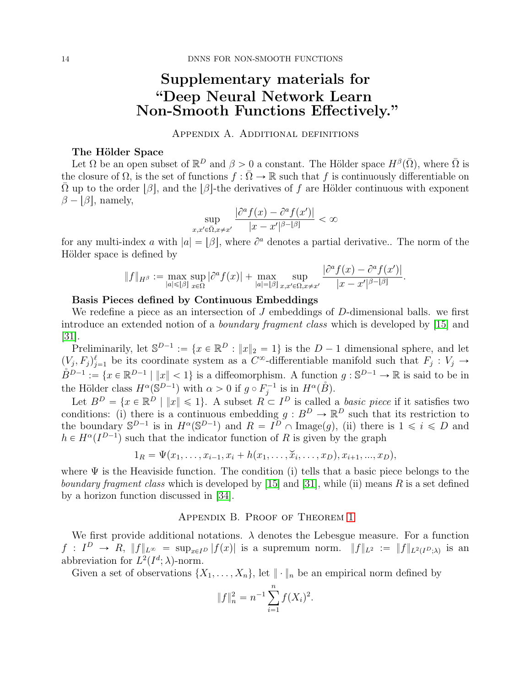# Supplementary materials for "Deep Neural Network Learn Non-Smooth Functions Effectively."

# Appendix A. Additional definitions

# <span id="page-13-0"></span>The Hölder Space

Let  $\Omega$  be an open subset of  $\mathbb{R}^D$  and  $\beta > 0$  a constant. The Hölder space  $H^{\beta}(\overline{\Omega})$ , where  $\overline{\Omega}$  is the closure of  $\Omega$ , is the set of functions  $f : \overline{\Omega} \to \mathbb{R}$  such that f is continuously differentiable on  $Ω$  up to the order  $β$ , and the  $β$ -the derivatives of f are Hölder continuous with exponent  $\beta - |\beta|$ , namely,

$$
\sup_{x,x'\in\bar{\Omega},x\neq x'}\frac{|\partial^a f(x) - \partial^a f(x')|}{|x - x'|^{\beta - |\beta|}} < \infty
$$

for any multi-index a with  $|a| = |\beta|$ , where  $\partial^a$  denotes a partial derivative.. The norm of the Hölder space is defined by

$$
||f||_{H^{\beta}} := \max_{|a| \leq |\beta|} \sup_{x \in \Omega} |\partial^a f(x)| + \max_{|a| = |\beta|} \sup_{x, x' \in \Omega, x \neq x'} \frac{|\partial^a f(x) - \partial^a f(x')|}{|x - x'|^{\beta - |\beta|}}.
$$

## Basis Pieces defined by Continuous Embeddings

We redefine a piece as an intersection of  $J$  embeddings of  $D$ -dimensional balls. we first introduce an extended notion of a boundary fragment class which is developed by [\[15\]](#page-11-16) and  $|31|$ .

Preliminarily, let  $\mathbb{S}^{D-1} := \{x \in \mathbb{R}^D : ||x||_2 = 1\}$  is the  $D-1$  dimensional sphere, and let  $(V_j, F_j)_{j=1}^{\ell}$  be its coordinate system as a  $C^{\infty}$ -differentiable manifold such that  $F_j : V_j \to$  $\mathring{B}^{D-1} := \{x \in \mathbb{R}^{D-1} \mid ||x|| < 1\}$  is a diffeomorphism. A function  $g : \mathbb{S}^{D-1} \to \mathbb{R}$  is said to be in the Hölder class  $H^{\alpha}(\mathbb{S}^{D-1})$  with  $\alpha > 0$  if  $g \circ F_j^{-1}$  is in  $H^{\alpha}(\mathring{B})$ .

Let  $B^D = \{x \in \mathbb{R}^D \mid ||x|| \leq 1\}$ . A subset  $R \subset I^D$  is called a *basic piece* if it satisfies two conditions: (i) there is a continuous embedding  $g : B^D \to \mathbb{R}^D$  such that its restriction to the boundary  $S^{D-1}$  is in  $H^{\alpha}(S^{D-1})$  and  $R = I^D \cap \text{Image}(g)$ , (ii) there is  $1 \leq i \leq D$  and  $h \in H^{\alpha}(I^{D-1})$  such that the indicator function of R is given by the graph

$$
1_R = \Psi(x_1, \ldots, x_{i-1}, x_i + h(x_1, \ldots, \breve{x}_i, \ldots, x_D), x_{i+1}, \ldots, x_D),
$$

where  $\Psi$  is the Heaviside function. The condition (i) tells that a basic piece belongs to the *boundary fragment class* which is developed by [\[15\]](#page-11-16) and [\[31\]](#page-11-17), while (ii) means R is a set defined by a horizon function discussed in [\[34\]](#page-11-8).

#### Appendix B. Proof of Theorem [1](#page-5-0)

We first provide additional notations.  $\lambda$  denotes the Lebesgue measure. For a function  $f: I^D \to R, ||f||_{L^{\infty}} = \sup_{x \in I^D} |f(x)|$  is a supremum norm.  $||f||_{L^2} := ||f||_{L^2(I^D; \lambda)}$  is an abbreviation for  $L^2(I^d; \lambda)$ -norm.

Given a set of observations  $\{X_1, \ldots, X_n\}$ , let  $\|\cdot\|_n$  be an empirical norm defined by

$$
||f||_n^2 = n^{-1} \sum_{i=1}^n f(X_i)^2.
$$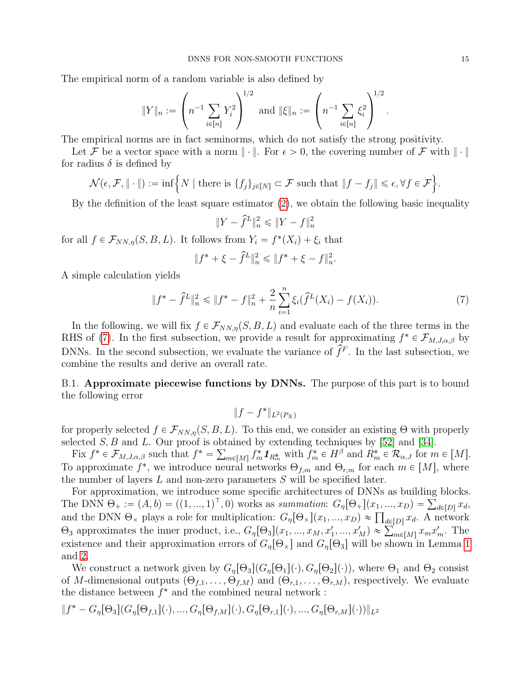The empirical norm of a random variable is also defined by

$$
||Y||_n := \left(n^{-1} \sum_{i \in [n]} Y_i^2\right)^{1/2} \text{ and } ||\xi||_n := \left(n^{-1} \sum_{i \in [n]} \xi_i^2\right)^{1/2}.
$$

The empirical norms are in fact seminorms, which do not satisfy the strong positivity.

Let F be a vector space with a norm  $\|\cdot\|$ . For  $\epsilon > 0$ , the covering number of F with  $\|\cdot\|$  $\mathbf{r}$ 

for radius 
$$
\delta
$$
 is defined by  
\n
$$
\mathcal{N}(\epsilon, \mathcal{F}, \| \cdot \|) := \inf \Big\{ N \mid \text{there is } \{f_j\}_{j \in [N]} \subset \mathcal{F} \text{ such that } \|f - f_j\| \leq \epsilon, \forall f \in \mathcal{F} \Big\}.
$$

By the definition of the least square estimator [\(2\)](#page-4-0), we obtain the following basic inequality

<span id="page-14-0"></span>
$$
\|Y-\hat{f}^L\|_n^2\leqslant\|Y-f\|_n^2
$$

for all  $f \in \mathcal{F}_{NN,\eta}(S, B, L)$ . It follows from  $Y_i = f^*(X_i) + \xi_i$  that

$$
\|f^*+\xi-\hat{f}^L\|_n^2\leqslant\|f^*+\xi-f\|_n^2.
$$

A simple calculation yields

$$
||f^* - \hat{f}^L||_n^2 \le ||f^* - f||_n^2 + \frac{2}{n} \sum_{i=1}^n \xi_i (\hat{f}^L(X_i) - f(X_i)). \tag{7}
$$

In the following, we will fix  $f \in \mathcal{F}_{NN,n}(S, B, L)$  and evaluate each of the three terms in the RHS of [\(7\)](#page-14-0). In the first subsection, we provide a result for approximating  $f^* \in \mathcal{F}_{M,J,\alpha,\beta}$  by DNNs. In the second subsection, we evaluate the variance of  $\hat{f}^F$ . In the last subsection, we combine the results and derive an overall rate.

<span id="page-14-1"></span>B.1. Approximate piecewise functions by DNNs. The purpose of this part is to bound the following error

$$
||f - f^*||_{L^2(P_X)}
$$

for properly selected  $f \in \mathcal{F}_{NN,\eta}(S, B, L)$ . To this end, we consider an existing Θ with properly selected  $S, B$  and  $L$ . Our proof is obtained by extending techniques by [\[52\]](#page-12-0) and [\[34\]](#page-11-8).

Fix  $f^* \in \mathcal{F}_{M,J,\alpha,\beta}$  such that  $f^* = \sum_{m \in [M]} f_m^* \mathbf{1}_{R_m^*}$  with  $f_m^* \in H^\beta$  and  $R_m^* \in \mathcal{R}_{\alpha,J}$  for  $m \in [M]$ . To approximate  $f^*$ , we introduce neural networks  $\Theta_{f,m}$  and  $\Theta_{r,m}$  for each  $m \in [M]$ , where the number of layers  $L$  and non-zero parameters  $S$  will be specified later.

For approximation, we introduce some specific architectures of DNNs as building blocks. For approximation, we introduce some specific architectures of DNNs as building blocks.<br>The DNN  $\Theta_+ := (A, b) = ((1, ..., 1)^\top, 0)$  works as summation:  $G_\eta[\Theta_+] (x_1, ..., x_D) = \sum_{d \in [D]} x_d$ , The DNN  $\Theta_+ := (A, b) = ((1, ..., 1)^{\top}, 0)$  works as summation:  $G_{\eta}[\Theta_{\times}](x_1, ..., x_D) = \sum_{d \in [D]} x_d$ .<br>and the DNN  $\Theta_{\times}$  plays a role for multiplication:  $G_{\eta}[\Theta_{\times}](x_1, ..., x_D) \approx \prod_{d \in [D]} x_d$ . A network and the DNN  $\Theta_{\chi}$  plays a role for multiplication:  $G_{\eta}[\Theta_{\chi}](x_1, ..., x_D) \approx \prod_{d \in [D]} x_d$ . A network  $\Theta_3$  approximates the inner product, i.e.,  $G_{\eta}[\Theta_3](x_1, ..., x_M, x'_1, ..., x'_M) \approx \sum_{m \in [M]} x_m x'_m$ . The existence and their approximation errors of  $G_n[\Theta_\times]$  and  $G_n[\Theta_3]$  will be shown in Lemma [1](#page-16-0) and [2.](#page-16-1)

We construct a network given by  $G_n[\Theta_3](G_n[\Theta_1](\cdot), G_n[\Theta_2](\cdot))$ , where  $\Theta_1$  and  $\Theta_2$  consist of M-dimensional outputs  $(\Theta_{f,1}, \ldots, \Theta_{f,M})$  and  $(\Theta_{r,1}, \ldots, \Theta_{r,M})$ , respectively. We evaluate the distance between  $f^*$  and the combined neural network :

$$
\|f^* - G_{\eta}[\Theta_3](G_{\eta}[\Theta_{f,1}](\cdot),...,G_{\eta}[\Theta_{f,M}](\cdot),G_{\eta}[\Theta_{r,1}](\cdot),...,G_{\eta}[\Theta_{r,M}](\cdot))\|_{L^2}
$$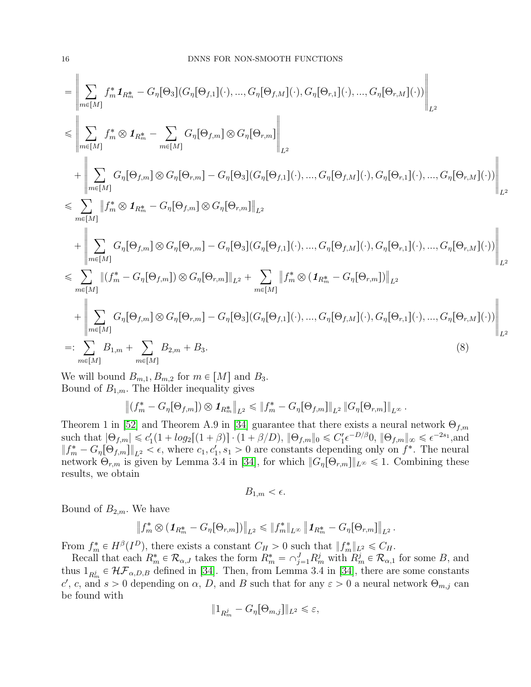$$
= \left\| \sum_{m \in [M]} f_m^* \mathbf{1}_{R_m^*} - G_{\eta}[\Theta_3](G_{\eta}[\Theta_{f,1}](\cdot), ..., G_{\eta}[\Theta_{f,M}](\cdot), G_{\eta}[\Theta_{r,1}](\cdot), ..., G_{\eta}[\Theta_{r,M}](\cdot)) \right\|_{L^2}
$$
  
\n
$$
\leqslant \left\| \sum_{m \in [M]} f_m^* \otimes \mathbf{1}_{R_m^*} - \sum_{m \in [M]} G_{\eta}[\Theta_{f,m}] \otimes G_{\eta}[\Theta_{r,m}] \right\|_{L^2}
$$
  
\n
$$
+ \left\| \sum_{m \in [M]} G_{\eta}[\Theta_{f,m}] \otimes G_{\eta}[\Theta_{r,m}] - G_{\eta}[\Theta_3](G_{\eta}[\Theta_{f,1}](\cdot), ..., G_{\eta}[\Theta_{f,M}](\cdot), G_{\eta}[\Theta_{r,1}](\cdot), ..., G_{\eta}[\Theta_{r,M}](\cdot)) \right\|_{L^2}
$$
  
\n
$$
\leqslant \sum_{m \in [M]} \|f_m^* \otimes \mathbf{1}_{R_m^*} - G_{\eta}[\Theta_{f,m}] \otimes G_{\eta}[\Theta_{r,m}] \|_{L^2}
$$
  
\n
$$
+ \left\| \sum_{m \in [M]} G_{\eta}[\Theta_{f,m}] \otimes G_{\eta}[\Theta_{r,m}] - G_{\eta}[\Theta_3](G_{\eta}[\Theta_{f,1}](\cdot), ..., G_{\eta}[\Theta_{f,M}](\cdot), G_{\eta}[\Theta_{r,1}](\cdot), ..., G_{\eta}[\Theta_{r,M}](\cdot)) \right\|_{L^2}
$$
  
\n
$$
\leqslant \sum_{m \in [M]} \| (f_m^* - G_{\eta}[\Theta_{f,m}] ) \otimes G_{\eta}[\Theta_{r,m}] \|_{L^2} + \sum_{m \in [M]} \| f_m^* \otimes (\mathbf{1}_{R_m^*} - G_{\eta}[\Theta_{r,m}]) \|_{L^2}
$$
  
\n
$$
+ \left\| \sum_{m \in [M]} G_{\eta}[\Theta_{f,m}] \otimes G_{\eta}[\Theta_{r,m}] - G_{\eta}[\Theta_3](G_{\eta}[\Theta_{f,1}](\cdot), ..., G_{\eta}[\Theta_{f,M}](\cdot), G_{\eta}[\Theta_{r
$$

We will bound  $B_{m,1}, B_{m,2}$  for  $m \in |M|$  and  $B_3$ . Bound of  $B_{1,m}$ . The Hölder inequality gives

$$
\left\|(f_m^* - G_{\eta}[\Theta_{f,m}]) \otimes \mathbf{1}_{R_m^*}\right\|_{L^2} \leq \left\|f_m^* - G_{\eta}[\Theta_{f,m}]\right\|_{L^2} \left\|G_{\eta}[\Theta_{r,m}]\right\|_{L^{\infty}}.
$$

Theorem 1 in [\[52\]](#page-12-0) and Theorem A.9 in [\[34\]](#page-11-8) guarantee that there exists a neural network  $\Theta_{f,m}$ such that  $|\Theta_{f,m}| \leqslant c'_1(1 + log_2[(1 + \beta)] \cdot (1 + \beta/D), ||\Theta_{f,m}||_0 \leqslant C'_1 \epsilon^{-D/\beta} 0, ||\Theta_{f,m}||_{\infty} \leqslant \epsilon^{-2s_1}$ , and  $|| f_m^* - G_\eta[\Theta_{f,m}] ||_{L^2} < \epsilon$ , where  $c_1, c_1, s_1 > 0$  are constants depending only on  $f^*$ . The neural network  $\Theta_{r,m}$  is given by Lemma 3.4 in [\[34\]](#page-11-8), for which  $||G_{\eta}[\Theta_{r,m}]||_{L^{\infty}} \leq 1$ . Combining these results, we obtain

$$
B_{1,m} < \epsilon.
$$

Bound of  $B_{2,m}$ . We have

$$
\left\|f_m^*\otimes (\mathbf{1}_{R_m^*} - G_{\eta}[\Theta_{r,m}])\right\|_{L^2} \leqslant \|f_m^*\|_{L^\infty} \left\| \mathbf{1}_{R_m^*} - G_{\eta}[\Theta_{r,m}]\right\|_{L^2}.
$$

From  $f_m^* \in H^{\beta}(I^D)$ , there exists a constant  $C_H > 0$  such that  $||f_m^*||_{L^2} \leq C_H$ .

Recall that each  $R_m^* \in \mathcal{R}_{\alpha,J}$  takes the form  $R_m^* = \bigcap_{j=1}^J R_m^j$  with  $R_m^j \in \mathcal{R}_{\alpha,1}$  for some B, and thus  $1_{R_m^j} \in \mathcal{HF}_{\alpha,D,B}$  defined in [\[34\]](#page-11-8). Then, from Lemma 3.4 in [34], there are some constants c', c, and  $s > 0$  depending on  $\alpha$ , D, and B such that for any  $\varepsilon > 0$  a neural network  $\Theta_{m,j}$  can be found with

$$
||1_{R_m^j} - G_{\eta}[\Theta_{m,j}]||_{L^2} \leq \varepsilon,
$$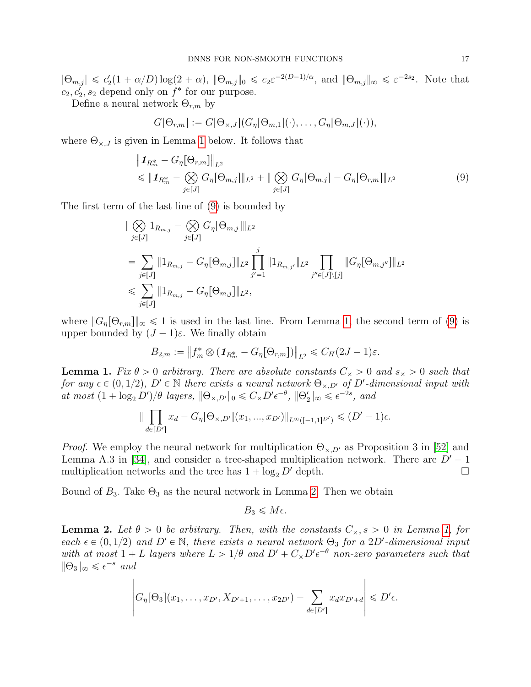$|\Theta_{m,j}| \leq c_2'(1+\alpha/D)\log(2+\alpha)$ ,  $\|\Theta_{m,j}\|_0 \leq c_2 \varepsilon^{-2(D-1)/\alpha}$ , and  $\|\Theta_{m,j}\|_{\infty} \leq \varepsilon^{-2s_2}$ . Note that  $c_2, c'_2, s_2$  depend only on  $f^*$  for our purpose.

Define a neural network  $\Theta_{r,m}$  by

<span id="page-16-2"></span>
$$
G[\Theta_{r,m}] := G[\Theta_{\times,J}](G_{\eta}[\Theta_{m,1}](\cdot),\ldots,G_{\eta}[\Theta_{m,J}](\cdot)),
$$

where  $\Theta_{\times,J}$  is given in Lemma [1](#page-16-0) below. It follows that

$$
\|\mathbf{1}_{R_m^*} - G_{\eta}[\Theta_{r,m}]\|_{L^2} \n\leq \|\mathbf{1}_{R_m^*} - \bigotimes_{j \in [J]} G_{\eta}[\Theta_{m,j}]\|_{L^2} + \|\bigotimes_{j \in [J]} G_{\eta}[\Theta_{m,j}] - G_{\eta}[\Theta_{r,m}]\|_{L^2}
$$
\n(9)

The first term of the last line of [\(9\)](#page-16-2) is bounded by

$$
\|\bigotimes_{j\in[J]} 1_{R_{m,j}} - \bigotimes_{j\in[J]} G_{\eta}[\Theta_{m,j}]\|_{L^2}
$$
\n
$$
= \sum_{j\in[J]} \|1_{R_{m,j}} - G_{\eta}[\Theta_{m,j}]\|_{L^2} \prod_{j'=1}^j \|1_{R_{m,j'}}\|_{L^2} \prod_{j''\in[J]\backslash[j]} \|G_{\eta}[\Theta_{m,j''}]\|_{L^2}
$$
\n
$$
\leq \sum_{j\in[J]} \|1_{R_{m,j}} - G_{\eta}[\Theta_{m,j}]\|_{L^2},
$$

where  $||G_n[\Theta_{r,m}||_{\infty} \le 1$  is used in the last line. From Lemma [1,](#page-16-0) the second term of [\(9\)](#page-16-2) is upper bounded by  $(J - 1)\varepsilon$ . We finally obtain

$$
B_{2,m} := \left\| f_m^* \otimes (\mathbf{1}_{R_m^*} - G_{\eta}[\Theta_{r,m}]) \right\|_{L^2} \leq C_H (2J - 1)\varepsilon.
$$

<span id="page-16-0"></span>**Lemma 1.** Fix  $\theta > 0$  arbitrary. There are absolute constants  $C_{\times} > 0$  and  $s_{\times} > 0$  such that for any  $\epsilon \in (0, 1/2)$ ,  $D' \in \mathbb{N}$  there exists a neural network  $\Theta_{\times,D'}$  of  $D'$ -dimensional input with at most  $(1 + \log_2 D')/\theta$  layers,  $\|\Theta_{\times,D'}\|_0 \leq C_{\times} D' \epsilon^{-\theta}$ ,  $\|\Theta_2'\|_{\infty} \leq \epsilon^{-2s}$ , and  $\frac{1}{\sqrt{2}}$ 

$$
\|\prod_{d\in[D']}x_d - G_{\eta}[\Theta_{\times,D'}](x_1,...,x_{D'})\|_{L^{\infty}([-1,1]^{D'})} \leq (D'-1)\epsilon.
$$

*Proof.* We employ the neural network for multiplication  $\Theta_{\times,D}$  as Proposition 3 in [\[52\]](#page-12-0) and Lemma A.3 in [\[34\]](#page-11-8), and consider a tree-shaped multiplication network. There are  $D'-1$ multiplication networks and the tree has  $1 + \log_2 D'$  depth.

Bound of  $B_3$ . Take  $\Theta_3$  as the neural network in Lemma [2.](#page-16-1) Then we obtain

$$
B_3 \leqslant M\epsilon.
$$

<span id="page-16-1"></span>**Lemma 2.** Let  $\theta > 0$  be arbitrary. Then, with the constants  $C_x$ ,  $s > 0$  in Lemma [1,](#page-16-0) for each  $\epsilon \in (0, 1/2)$  and  $D' \in \mathbb{N}$ , there exists a neural network  $\Theta_3$  for a 2D'-dimensional input with at most  $1 + L$  layers where  $L > 1/\theta$  and  $D' + C_{\times} D' \epsilon^{-\theta}$  non-zero parameters such that  $\|\Theta_3\|_{\infty} \leqslant \epsilon^{-s}$  and

$$
\left| G_{\eta}[\Theta_3](x_1,\ldots,x_{D'}, X_{D'+1},\ldots,x_{2D'}) - \sum_{d \in [D']} x_d x_{D'+d} \right| \leq D' \epsilon.
$$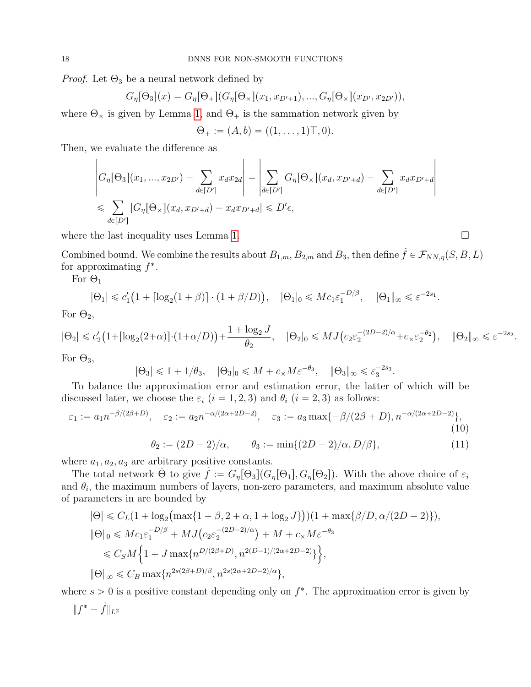*Proof.* Let  $\Theta_3$  be a neural network defined by

$$
G_{\eta}[\Theta_3](x) = G_{\eta}[\Theta_+](G_{\eta}[\Theta_\times](x_1, x_{D'+1}), ..., G_{\eta}[\Theta_\times](x_{D'}, x_{2D'})),
$$

where  $\Theta_{\times}$  is given by Lemma [1,](#page-16-0) and  $\Theta_{+}$  is the sammation network given by

$$
\Theta_+ := (A, b) = ((1, \ldots, 1) \top, 0).
$$

Then, we evaluate the difference as

$$
\begin{aligned}\n\left| G_{\eta}[\Theta_{3}](x_{1},...,x_{2D'}) - \sum_{d \in [D']} x_{d}x_{2d} \right| &= \left| \sum_{d \in [D']} G_{\eta}[\Theta_{\times}](x_{d}, x_{D'+d}) - \sum_{d \in [D']} x_{d}x_{D'+d} \right| \\
&\leq \sum_{d \in [D']} |G_{\eta}[\Theta_{\times}](x_{d}, x_{D'+d}) - x_{d}x_{D'+d}| \leq D' \epsilon,\n\end{aligned}
$$

where the last inequality uses Lemma [1.](#page-16-0)  $\Box$ 

Combined bound. We combine the results about  $B_{1,m}$ ,  $B_{2,m}$  and  $B_3$ , then define  $\dot{f} \in \mathcal{F}_{NN,\eta}(S, B, L)$ for approximating  $f^*$ .

For  $\Theta_1$ 

$$
|\Theta_1| \leq c_1' \big(1 + \lceil \log_2(1+\beta) \rceil \cdot (1+\beta/D)\big), \quad |\Theta_1|_0 \leqslant Mc_1 \varepsilon_1^{-D/\beta}, \quad \|\Theta_1\|_{\infty} \leqslant \varepsilon^{-2s_1}
$$

For  $\Theta_2$ ,

$$
|\Theta_2| \leq c_2' \left(1+ \left\lceil \log_2(2+\alpha) \right\rceil \cdot (1+\alpha/D) \right) + \frac{1+\log_2 J}{\theta_2}, \quad |\Theta_2|_0 \leqslant MJ\left(c_2\varepsilon_2^{-(2D-2)/\alpha} + c_\times\varepsilon_2^{-\theta_2} \right), \quad \|\Theta_2\|_\infty \leqslant \varepsilon^{-2s_2}.
$$

<span id="page-17-0"></span>.

For  $\Theta_3$ ,

$$
|\Theta_3| \leq 1 + 1/\theta_3, \quad |\Theta_3|_0 \leq M + c_\times M \varepsilon^{-\theta_3}, \quad |\Theta_3|_\infty \leq \varepsilon_3^{-2s_3}.
$$

To balance the approximation error and estimation error, the latter of which will be discussed later, we choose the  $\varepsilon_i$   $(i = 1, 2, 3)$  and  $\theta_i$   $(i = 2, 3)$  as follows:

$$
\varepsilon_1 := a_1 n^{-\beta/(2\beta+D)}, \quad \varepsilon_2 := a_2 n^{-\alpha/(2\alpha+2D-2)}, \quad \varepsilon_3 := a_3 \max\{-\beta/(2\beta+D), n^{-\alpha/(2\alpha+2D-2)}\},\tag{10}
$$

$$
\theta_2 := (2D - 2)/\alpha, \qquad \theta_3 := \min\{(2D - 2)/\alpha, D/\beta\},\tag{11}
$$

where  $a_1, a_2, a_3$  are arbitrary positive constants.

The total network  $\Theta$  to give  $f := G_n[\Theta_3](G_n[\Theta_1], G_n[\Theta_2])$ . With the above choice of  $\varepsilon_i$ and  $\theta_i$ , the maximum numbers of layers, non-zero parameters, and maximum absolute value of parameters in are bounded by `

$$
|\Theta| \leq C_L (1 + \log_2 \left( \max\{ 1 + \beta, 2 + \alpha, 1 + \log_2 J \} \right) ) (1 + \max\{\beta/D, \alpha/(2D - 2)\}),
$$
  
\n
$$
|\Theta|_0 \leq Mc_1 \varepsilon_1^{-D/\beta} + MJ \left( c_2 \varepsilon_2^{-(2D-2)/\alpha} \right) + M + c_{\times} M \varepsilon^{-\theta_3}
$$
  
\n
$$
\leq C_S M \Big\{ 1 + J \max\{ n^{D/(2\beta + D)}, n^{2(D-1)/(2\alpha + 2D - 2)} \} \Big\},
$$
  
\n
$$
|\Theta|_{\infty} \leq C_B \max\{ n^{2s(2\beta + D)/\beta}, n^{2s(2\alpha + 2D - 2)/\alpha} \},
$$

where  $s > 0$  is a positive constant depending only on  $f^*$ . The approximation error is given by

$$
\|f^*-\dot{f}\|_{L^2}
$$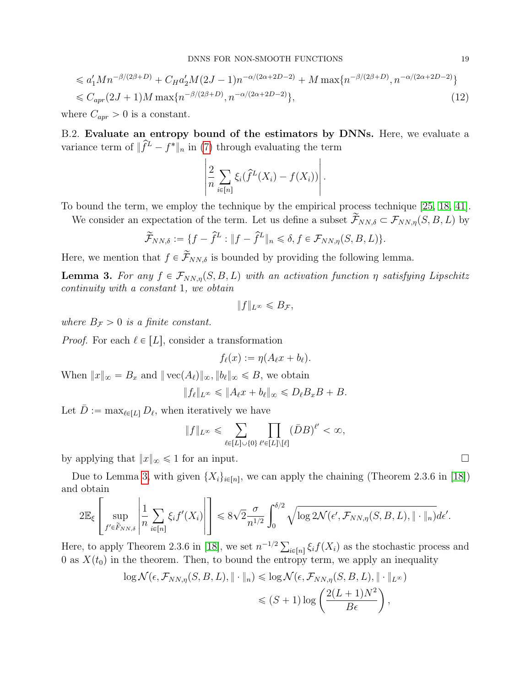$$
\leq a_1' M n^{-\beta/(2\beta+D)} + C_H a_2' M (2J-1) n^{-\alpha/(2\alpha+2D-2)} + M \max\{n^{-\beta/(2\beta+D)}, n^{-\alpha/(2\alpha+2D-2)}\}
$$
  

$$
\leq C_{\alpha pr} (2J+1) M \max\{n^{-\beta/(2\beta+D)}, n^{-\alpha/(2\alpha+2D-2)}\},
$$
 (12)

where  $C_{apr} > 0$  is a constant.

<span id="page-18-1"></span>B.2. Evaluate an entropy bound of the estimators by DNNs. Here, we evaluate a variance term of  $\|\hat{f}^L - f^*\|_n$  in [\(7\)](#page-14-0) through evaluating the term

$$
\left|\frac{2}{n}\sum_{i\in[n]}\xi_i(\hat{f}^L(X_i)-f(X_i))\right|.
$$

To bound the term, we employ the technique by the empirical process technique [\[25,](#page-11-19) [18,](#page-11-14) [41\]](#page-12-2).

We consider an expectation of the term. Let us define a subset  $\widetilde{\mathcal{F}}_{NN,\delta} \subset \mathcal{F}_{NN,\eta}(S, B, L)$  by

$$
\widetilde{\mathcal{F}}_{NN,\delta} := \{ f - \widehat{f}^L : \| f - \widehat{f}^L \|_n \leq \delta, f \in \mathcal{F}_{NN,\eta}(S, B, L) \}.
$$

Here, we mention that  $f \in \mathcal{F}_{NN,\delta}$  is bounded by providing the following lemma.

<span id="page-18-0"></span>**Lemma 3.** For any  $f \in \mathcal{F}_{NN,\eta}(S, B, L)$  with an activation function  $\eta$  satisfying Lipschitz continuity with a constant 1, we obtain

$$
||f||_{L^{\infty}} \leq B_{\mathcal{F}},
$$

where  $B_{\mathcal{F}} > 0$  is a finite constant.

*Proof.* For each  $\ell \in [L]$ , consider a transformation

$$
f_{\ell}(x):=\eta(A_{\ell}x+b_{\ell}).
$$

When  $||x||_{\infty} = B_x$  and  $||\text{vec}(A_{\ell})||_{\infty}$ ,  $||b_{\ell}||_{\infty} \le B$ , we obtain

$$
||f_{\ell}||_{L^{\infty}} \leq ||A_{\ell}x + b_{\ell}||_{\infty} \leq D_{\ell}B_{x}B + B.
$$

Let  $\bar{D} := \max_{\ell \in [L]} D_{\ell}$ , when iteratively we have  $\ddot{\phantom{0}}$ ź

$$
\|f\|_{L^{\infty}} \leqslant \sum_{\ell \in [L] \cup \{0\}} \prod_{\ell' \in [L] \setminus [\ell]} (\bar{D}B)^{\ell'} < \infty,
$$

by applying that  $||x||_{\infty} \le 1$  for an input.

Due to Lemma [3,](#page-18-0) with given  $\{X_i\}_{i\in[n]}$ , we can apply the chaining (Theorem 2.3.6 in [\[18\]](#page-11-14)) and obtain fi

$$
2\mathbb{E}_{\xi}\left[\sup_{f'\in\widetilde{F}_{NN,\delta}}\left|\frac{1}{n}\sum_{i\in[n]}\xi_{i}f'(X_{i})\right|\right] \leqslant 8\sqrt{2}\frac{\sigma}{n^{1/2}}\int_{0}^{\delta/2}\sqrt{\log 2\mathcal{N}(\epsilon',\mathcal{F}_{NN,\eta}(S,B,L),\|\cdot\|_{n})}d\epsilon'.
$$

Here, to apply Theorem 2.3.6 in [\[18\]](#page-11-14), we set  $n^{-1/2} \sum_{i \in [n]} \xi_i f(X_i)$  as the stochastic process and 0 as  $X(t_0)$  in the theorem. Then, to bound the entropy term, we apply an inequality

$$
\log \mathcal{N}(\epsilon, \mathcal{F}_{NN,\eta}(S, B, L), \| \cdot \|_{n}) \leq \log \mathcal{N}(\epsilon, \mathcal{F}_{NN,\eta}(S, B, L), \| \cdot \|_{L^{\infty}})
$$
  

$$
\leq (S+1) \log \left( \frac{2(L+1)N^{2}}{B\epsilon} \right),
$$

<span id="page-18-2"></span>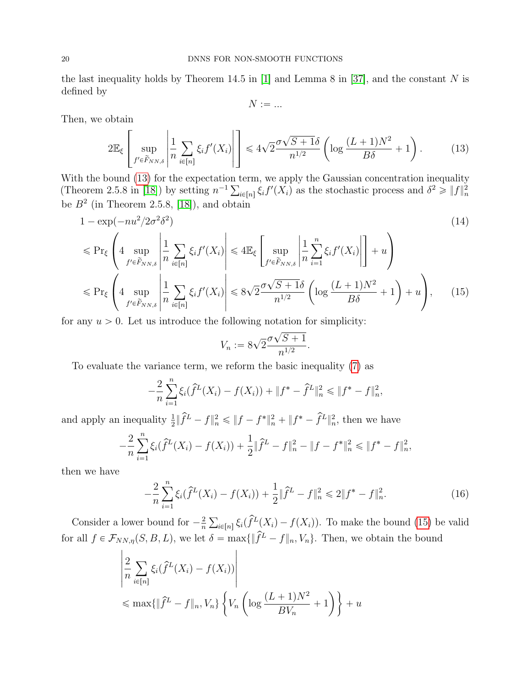the last inequality holds by Theorem 14.5 in [\[1\]](#page-10-12) and Lemma 8 in [\[37\]](#page-11-10), and the constant N is defined by

<span id="page-19-0"></span>
$$
N := \dots
$$

fi

Then, we obtain

$$
2\mathbb{E}_{\xi}\left[\sup_{f' \in \widetilde{F}_{NN,\delta}}\left|\frac{1}{n}\sum_{i\in[n]}\xi_i f'(X_i)\right|\right] \leq 4\sqrt{2}\frac{\sigma\sqrt{S+1}\delta}{n^{1/2}}\left(\log\frac{(L+1)N^2}{B\delta}+1\right). \tag{13}
$$

With the bound  $(13)$  for the expectation term, we apply the Gaussian concentration inequality With the bound (13) for the expectation term, we apply the Gaussian concentration inequality<br>(Theorem 2.5.8 in [\[18\]](#page-11-14)) by setting  $n^{-1} \sum_{i \in [n]} \xi_i f'(X_i)$  as the stochastic process and  $\delta^2 \geq ||f||_n^2$ be  $B<sup>2</sup>$  (in Theorem 2.5.8, [\[18\]](#page-11-14)), and obtain

$$
1 - \exp(-nu^2/2\sigma^2\delta^2)
$$
\n
$$
\leq \Pr_{\xi} \left( 4 \sup_{f' \in \widetilde{F}_{NN,\delta}} \left| \frac{1}{n} \sum_{i \in [n]} \xi_i f'(X_i) \right| \leq 4 \mathbb{E}_{\xi} \left[ \sup_{f' \in \widetilde{F}_{NN,\delta}} \left| \frac{1}{n} \sum_{i=1}^n \xi_i f'(X_i) \right| \right] + u \right)
$$
\n
$$
\leq \Pr_{\xi} \left( 4 \sup_{f' \in \widetilde{F}_{NN,\delta}} \left| \frac{1}{n} \sum_{i \in [n]} \xi_i f'(X_i) \right| \leq 8\sqrt{2} \frac{\sigma \sqrt{S+1}\delta}{n^{1/2}} \left( \log \frac{(L+1)N^2}{B\delta} + 1 \right) + u \right), \quad (15)
$$

for any  $u > 0$ . Let us introduce the following notation for simplicity:

<span id="page-19-2"></span><span id="page-19-1"></span>
$$
V_n := 8\sqrt{2} \frac{\sigma \sqrt{S+1}}{n^{1/2}}.
$$

To evaluate the variance term, we reform the basic inequality [\(7\)](#page-14-0) as

$$
-\frac{2}{n}\sum_{i=1}^n\xi_i(\widehat{f}^L(X_i)-f(X_i))+\|f^*-\widehat{f}^L\|_n^2\leq \|f^*-f\|_n^2,
$$

and apply an inequality  $\frac{1}{2} \|\hat{f}^L - f\|_n^2 \le \|f - f^*\|_n^2 + \|f^* - \hat{f}^L\|_n^2$ , then we have  $\boldsymbol{n}$ 

$$
-\frac{2}{n}\sum_{i=1}^n\xi_i(\widehat{f}^L(X_i)-f(X_i))+\frac{1}{2}\|\widehat{f}^L-f\|_n^2-\|f-f^*\|_n^2\leq \|f^*-f\|_n^2,
$$

then we have

$$
-\frac{2}{n}\sum_{i=1}^{n}\xi_{i}(\hat{f}^{L}(X_{i}) - f(X_{i})) + \frac{1}{2}\|\hat{f}^{L} - f\|_{n}^{2} \le 2\|f^{*} - f\|_{n}^{2}.
$$
 (16)

Consider a lower bound for  $-\frac{2}{n}$ n  $\sum_{i\in[n]}\xi_i(\hat{f}^L(X_i)-f(X_i)).$  To make the bound [\(15\)](#page-19-1) be valid for all  $f \in \mathcal{F}_{NN,\eta}(S, B, L)$ , we let  $\delta = \max{\{\|\hat{f}^L - f\|_n, V_n\}}$ . Then, we obtain the bound

$$
\left| \frac{2}{n} \sum_{i \in [n]} \xi_i(\hat{f}^L(X_i) - f(X_i)) \right|
$$
  

$$
\leq \max\{\|\hat{f}^L - f\|_n, V_n\} \left\{ V_n \left( \log \frac{(L+1)N^2}{BV_n} + 1 \right) \right\} + u
$$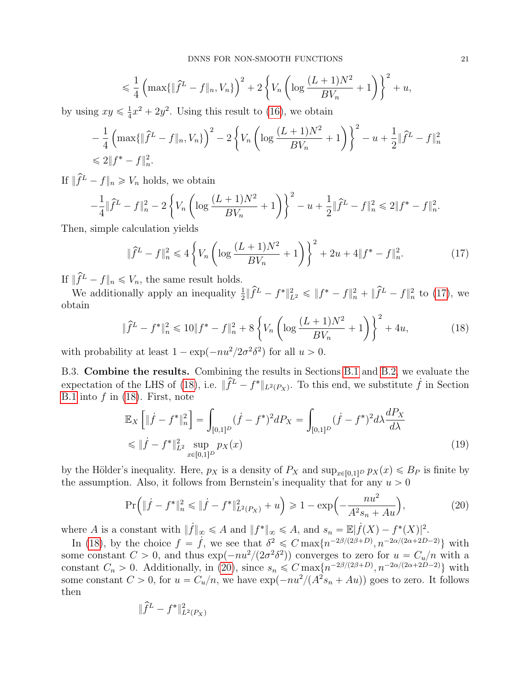$$
\leq \frac{1}{4} \left( \max \{ \|\hat{f}^L - f\|_n, V_n \} \right)^2 + 2 \left\{ V_n \left( \log \frac{(L+1)N^2}{BV_n} + 1 \right) \right\}^2 + u,
$$

by using  $xy \leq \frac{1}{4}$  $\frac{1}{4}x^2 + 2y^2$ . Using this result to [\(16\)](#page-19-2), we obtain " ˆ

$$
-\frac{1}{4}\left(\max\{\|\hat{f}^L - f\|_n, V_n\}\right)^2 - 2\left\{V_n\left(\log\frac{(L+1)N^2}{BV_n} + 1\right)\right\}^2 - u + \frac{1}{2}\|\hat{f}^L - f\|_n^2
$$
  
\$\leq 2\|f^\* - f\|\_n^2.

If  $\|\widehat{f}^L - f\|_n \geq V_n$  holds, we obtain " ˆ

$$
-\frac{1}{4} \|\hat{f}^L - f\|_n^2 - 2 \left\{ V_n \left( \log \frac{(L+1)N^2}{BV_n} + 1 \right) \right\}^2 - u + \frac{1}{2} \|\hat{f}^L - f\|_n^2 \le 2 \|f^* - f\|_n^2.
$$

Then, simple calculation yields "

<span id="page-20-0"></span>
$$
\|\hat{f}^L - f\|_n^2 \le 4\left\{V_n \left(\log\frac{(L+1)N^2}{BV_n} + 1\right)\right\}^2 + 2u + 4\|f^* - f\|_n^2.
$$
 (17)

If  $\|\widehat{f}^L - f\|_n \leq V_n$ , the same result holds.

We additionally apply an inequality  $\frac{1}{2} \|\hat{f}^L - f^*\|_{L^2}^2 \leq \|f^* - f\|_n^2 + \|\hat{f}^L - f\|_n^2$  to [\(17\)](#page-20-0), we obtain " ˆ

<span id="page-20-1"></span>
$$
\|\hat{f}^L - f^*\|_n^2 \le 10\|f^* - f\|_n^2 + 8\left\{V_n\left(\log\frac{(L+1)N^2}{BV_n} + 1\right)\right\}^2 + 4u,\tag{18}
$$

with probability at least  $1 - \exp(-nu^2/2\sigma^2\delta^2)$  for all  $u > 0$ .

B.3. Combine the results. Combining the results in Sections [B.1](#page-14-1) and [B.2,](#page-18-1) we evaluate the expectation of the LHS of [\(18\)](#page-20-1), i.e.  $\|\hat{f}^L - f^*\|_{L^2(P_X)}$ . To this end, we substitute  $\hat{f}$  in Section [B.1](#page-14-1) into  $f$  in  $(18)$ . First, note

<span id="page-20-3"></span>
$$
\mathbb{E}_X \left[ \|\dot{f} - f^*\|_n^2 \right] = \int_{[0,1]^D} (\dot{f} - f^*)^2 dP_X = \int_{[0,1]^D} (\dot{f} - f^*)^2 d\lambda \frac{dP_X}{d\lambda}
$$
\n
$$
\leq \|\dot{f} - f^*\|_{L^2}^2 \sup_{x \in [0,1]^D} p_X(x) \tag{19}
$$

by the Hölder's inequality. Here,  $p_X$  is a density of  $P_X$  and  $\sup_{x\in[0,1]^D} p_X(x) \leq B_P$  is finite by the assumption. Also, it follows from Bernstein's inequality that for any  $u > 0$ 

<span id="page-20-2"></span>
$$
\Pr\left(\|\dot{f} - f^*\|_n^2 \le \|\dot{f} - f^*\|_{L^2(P_X)}^2 + u\right) \ge 1 - \exp\left(-\frac{nu^2}{A^2 s_n + Au}\right),\tag{20}
$$

where A is a constant with  $||f||_{\infty} \leqslant A$  and  $||f^*||_{\infty} \leqslant A$ , and  $s_n = \mathbb{E}|f(X) - f^*(X)|^2$ .

In [\(18\)](#page-20-1), by the choice  $f = \dot{f}$ , we see that  $\delta^2 \leq C \max\{n^{-2\beta/(2\beta+D)}, n^{-2\alpha/(2\alpha+2D-2)}\}\$  with some constant  $C > 0$ , and thus  $\exp(-nu^2/(2\sigma^2\delta^2))$  converges to zero for  $u = C_u/n$  with a constant  $C_n > 0$ . Additionally, in [\(20\)](#page-20-2), since  $s_n \leq C \max\{n^{-2\beta/(2\beta+D)}, n^{-2\alpha/(2\alpha+2D-2)}\}\$  with some constant  $C > 0$ , for  $u = C_u/n$ , we have  $\exp(-nu^2/(A^2 s_n + Au))$  goes to zero. It follows then

$$
\|\hat{f}^L - f^*\|_{L^2(P_X)}^2
$$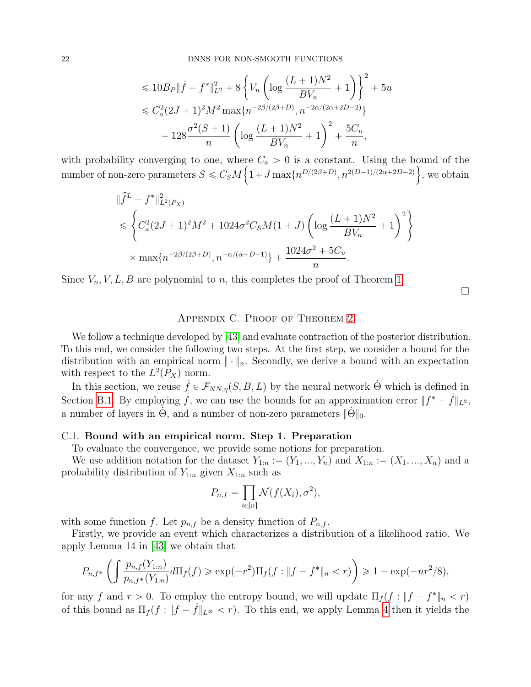$$
\leq 10B_P \|\dot{f} - f^*\|_{L^2}^2 + 8\left\{V_n \left(\log \frac{(L+1)N^2}{BV_n} + 1\right)\right\}^2 + 5u
$$
  

$$
\leq C_a^2 (2J+1)^2 M^2 \max\{n^{-2\beta/(2\beta+D)}, n^{-2\alpha/(2\alpha+2D-2)}\}
$$
  

$$
+ 128 \frac{\sigma^2 (S+1)}{n} \left(\log \frac{(L+1)N^2}{BV_n} + 1\right)^2 + \frac{5C_u}{n},
$$

with probability converging to one, where  $C_a > 0$  is a constant. Using the bound of the number of non-zero parameters  $S \leq C_S M \left\{1 + J \max\{n^{D/(2\beta+D)}, n^{2(D-1)/(2\alpha+2D-2)}\}\right\}$ , we obtain

$$
\|\hat{f}^{L} - f^{*}\|_{L^{2}(P_{X})}^{2}
$$
\n
$$
\leq \left\{ C_{a}^{2}(2J+1)^{2}M^{2} + 1024\sigma^{2}C_{S}M(1+J)\left(\log\frac{(L+1)N^{2}}{BV_{n}}+1\right)^{2}\right\}
$$
\n
$$
\times \max\{n^{-2\beta/(2\beta+D)}, n^{-\alpha/(\alpha+D-1)}\} + \frac{1024\sigma^{2} + 5C_{u}}{n}.
$$

Since  $V_n, V, L, B$  are polynomial to n, this completes the proof of Theorem [1.](#page-5-0)

 $\Box$ 

#### Appendix C. Proof of Theorem [2](#page-6-0)

We follow a technique developed by [\[43\]](#page-12-7) and evaluate contraction of the posterior distribution. To this end, we consider the following two steps. At the first step, we consider a bound for the distribution with an empirical norm  $\|\cdot\|_n$ . Secondly, we derive a bound with an expectation with respect to the  $L^2(P_X)$  norm.

In this section, we reuse  $\dot{f} \in \mathcal{F}_{NN,\eta}(S, B, L)$  by the neural network Θ which is defined in Section [B.1.](#page-14-1) By employing  $\dot{f}$ , we can use the bounds for an approximation error  $||f^* - f||_{L^2}$ , a number of layers in  $\Theta$ , and a number of non-zero parameters  $\|\Theta\|_0$ .

#### <span id="page-21-0"></span>C.1. Bound with an empirical norm. Step 1. Preparation

To evaluate the convergence, we provide some notions for preparation.

We use addition notation for the dataset  $Y_{1:n} := (Y_1, ..., Y_n)$  and  $X_{1:n} := (X_1, ..., X_n)$  and a probability distribution of  $Y_{1:n}$  given  $X_{1:n}$  such as

$$
P_{n,f} = \prod_{i \in [n]} \mathcal{N}(f(X_i), \sigma^2),
$$

with some function f. Let  $p_{n,f}$  be a density function of  $P_{n,f}$ .

Firstly, we provide an event which characterizes a distribution of a likelihood ratio. We apply Lemma 14 in [\[43\]](#page-12-7) we obtain that ˆż ˙

$$
P_{n,f^*}\left(\int \frac{p_{n,f}(Y_{1:n})}{p_{n,f^*}(Y_{1:n})} d\Pi_f(f) \ge \exp(-r^2) \Pi_f(f: \|f - f^*\|_n < r)\right) \ge 1 - \exp(-nr^2/8),
$$

for any f and  $r > 0$ . To employ the entropy bound, we will update  $\prod_f (f : ||f - f^*||_n < r)$ of this bound as  $\prod_f (f : ||f - f||_{L^{\infty}} < r)$ . To this end, we apply Lemma [4](#page-24-0) then it yields the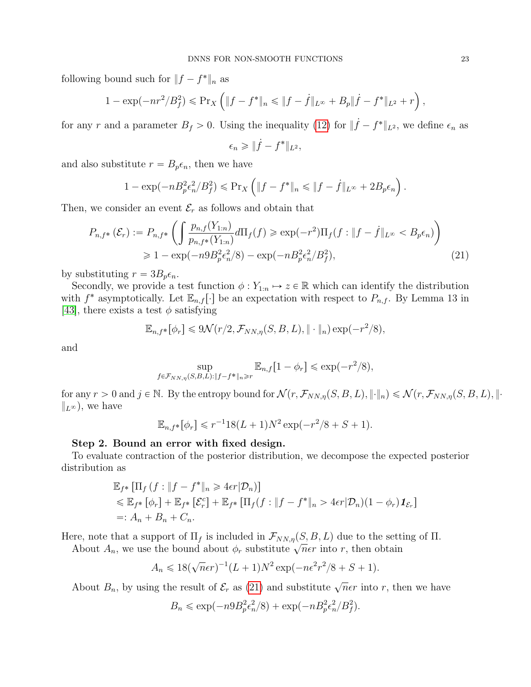following bound such for  $||f - f^*||_n$  as

$$
1 - \exp(-nr^2/B_f^2) \leq \Pr_X \left( \|f - f^*\|_n \leq \|f - \dot{f}\|_{L^\infty} + B_p \|\dot{f} - f^*\|_{L^2} + r \right),
$$

for any r and a parameter  $B_f > 0$ . Using the inequality [\(12\)](#page-18-2) for  $\|\dot{f} - f^*\|_{L^2}$ , we define  $\epsilon_n$  as

<span id="page-22-0"></span>
$$
\epsilon_n \geqslant \| \dot{f} - f^* \|_{L^2},
$$

and also substitute  $r = B_p \epsilon_n$ , then we have

$$
1 - \exp(-nB_p^2 \epsilon_n^2 / B_f^2) \leqslant \Pr_X \left( \|f - f^*\|_n \leqslant \|f - \dot{f}\|_{L^\infty} + 2B_p \epsilon_n \right).
$$

Then, we consider an event  $\mathcal{E}_r$  as follows and obtain that ˆż

$$
P_{n,f^*}\left(\mathcal{E}_r\right) := P_{n,f^*}\left(\int \frac{p_{n,f}(Y_{1:n})}{p_{n,f^*}(Y_{1:n})} d\Pi_f(f) \ge \exp(-r^2) \Pi_f(f : \|f - f\|_{L^\infty} < B_p \epsilon_n)\right) \\
\ge 1 - \exp(-n9B_p^2 \epsilon_n^2/8) - \exp(-nB_p^2 \epsilon_n^2/B_f^2),\n\tag{21}
$$

by substituting  $r = 3B_p \epsilon_n$ .

Secondly, we provide a test function  $\phi: Y_{1:n} \mapsto z \in \mathbb{R}$  which can identify the distribution with  $f^*$  asymptotically. Let  $\mathbb{E}_{n,f}[\cdot]$  be an expectation with respect to  $P_{n,f}$ . By Lemma 13 in [\[43\]](#page-12-7), there exists a test  $\phi$  satisfying

$$
\mathbb{E}_{n,f^*}[\phi_r] \leq 9\mathcal{N}(r/2,\mathcal{F}_{NN,\eta}(S,B,L),\|\cdot\|_n)\exp(-r^2/8),
$$

and

$$
\sup_{f \in \mathcal{F}_{NN,\eta}(S,B,L): \|f - f^*\|_{n} \ge r} \mathbb{E}_{n,f}[1 - \phi_r] \le \exp(-r^2/8),
$$

for any  $r > 0$  and  $j \in \mathbb{N}$ . By the entropy bound for  $\mathcal{N}(r, \mathcal{F}_{NN,\eta}(S, B, L), ||\cdot||_n) \leq \mathcal{N}(r, \mathcal{F}_{NN,\eta}(S, B, L), ||\cdot||_n)$  $\|_{L^{\infty}}$ , we have

$$
\mathbb{E}_{n,f^*}[\phi_r] \leq r^{-1} 18(L+1)N^2 \exp(-r^2/8 + S + 1).
$$

#### Step 2. Bound an error with fixed design.

To evaluate contraction of the posterior distribution, we decompose the expected posterior distribution as

$$
\mathbb{E}_{f^*} [\Pi_f (f : ||f - f^*||_n \ge 4\epsilon r | \mathcal{D}_n)]
$$
  
\$\leq \mathbb{E}\_{f^\*} [\phi\_r] + \mathbb{E}\_{f^\*} [\mathcal{E}\_r^c] + \mathbb{E}\_{f^\*} [\Pi\_f (f : ||f - f^\*||\_n > 4\epsilon r | \mathcal{D}\_n)(1 - \phi\_r) \mathbf{1}\_{\mathcal{E}\_r}]\$  
=: A\_n + B\_n + C\_n.

Here, note that a support of  $\Pi_f$  is included in  $\mathcal{F}_{NN,\eta}(S, B, L)$  due to the setting of  $\Pi$ .

The about A<sub>n</sub>, we use the bound about  $\phi_r$  substitute  $\sqrt{n} \epsilon r$  into r, then obtain

$$
A_n \leq 18(\sqrt{n}\epsilon r)^{-1}(L+1)N^2\exp(-n\epsilon^2r^2/8+S+1).
$$

About  $B_n$ , by using the result of  $\mathcal{E}_r$  as [\(21\)](#page-22-0) and substitute  $\sqrt{n} \epsilon r$  into r, then we have

$$
B_n \le \exp(-n9B_p^2 \epsilon_n^2/8) + \exp(-nB_p^2 \epsilon_n^2/B_f^2).
$$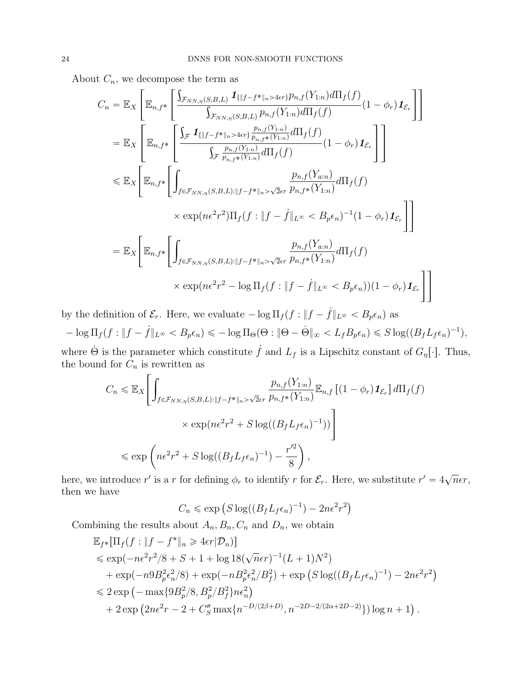About  $C_n$ , we decompose the term as

$$
C_n = \mathbb{E}_X \left[ \mathbb{E}_{n,f^*} \left[ \frac{\int_{\mathcal{F}_{NN,\eta}(S,B,L)} \mathbf{1}_{\{|f-f^* \|_n > 4\epsilon r\}} p_{n,f}(Y_{1:n}) d\Pi_f(f)}{\int_{\mathcal{F}_{NN,\eta}(S,B,L)} p_{n,f}(Y_{1:n}) d\Pi_f(f)} (1 - \phi_r) \mathbf{1}_{\mathcal{E}_r} \right] \right]
$$
  
\n
$$
= \mathbb{E}_X \left[ \mathbb{E}_{n,f^*} \left[ \frac{\int_{\mathcal{F}} \mathbf{1}_{\{|f-f^* \|_n > 4\epsilon r\}} \frac{p_{n,f}(Y_{1:n})}{p_{n,f^*}(Y_{1:n})} d\Pi_f(f)}{(1 - \phi_r) \mathbf{1}_{\mathcal{E}_r}} \right] \right]
$$
  
\n
$$
\leq \mathbb{E}_X \left[ \mathbb{E}_{n,f^*} \left[ \int_{f \in \mathcal{F}_{NN,\eta}(S,B,L): \|f - f^* \|_n > \sqrt{2\epsilon r}} \frac{p_{n,f}(Y_{2:n})}{p_{n,f^*}(Y_{1:n})} d\Pi_f(f) \right. \right.
$$
  
\n
$$
\times \exp(n\epsilon^2 r^2) \Pi_f(f : \|f - f\|_{L^\infty} < B_p \epsilon_n)^{-1} (1 - \phi_r) \mathbf{1}_{\mathcal{E}_r} \right]
$$
  
\n
$$
= \mathbb{E}_X \left[ \mathbb{E}_{n,f^*} \left[ \int_{f \in \mathcal{F}_{NN,\eta}(S,B,L): \|f - f^* \|_n > \sqrt{2\epsilon r}} \frac{p_{n,f}(Y_{2:n})}{p_{n,f^*}(Y_{1:n})} d\Pi_f(f) \right. \right.
$$
  
\n
$$
\times \exp(n\epsilon^2 r^2 - \log \Pi_f(f : \|f - f\|_{L^\infty} < B_p \epsilon_n)) (1 - \phi_r) \mathbf{1}_{\mathcal{E}_r} \right]
$$

by the definition of  $\mathcal{E}_r$ . Here, we evaluate  $-\log \Pi_f (f : ||f - \dot{f}||_{L^{\infty}} < B_p \epsilon_n)$  as

$$
-\log \Pi_f(f: \|f - f\|_{L^\infty} < B_p \epsilon_n) \leq -\log \Pi_\Theta(\Theta : \|\Theta - \dot{\Theta}\|_\infty < L_f B_p \epsilon_n) \leqslant S \log((B_f L_f \epsilon_n)^{-1}),
$$

where  $\dot{\Theta}$  is the parameter which constitute  $\dot{f}$  and  $L_f$  is a Lipschitz constant of  $G_{\eta}[\cdot]$ . Thus, the bound for  $C_n$  is rewritten as

$$
C_n \leq \mathbb{E}_X \left[ \int_{f \in \mathcal{F}_{NN,\eta}(S,B,L): \|f - f^*\|_{n} > \sqrt{2\epsilon r}} \frac{p_{n,f}(Y_{1:n})}{p_{n,f^*}(Y_{1:n})} \mathbb{E}_{n,f} \left[ (1 - \phi_r) \mathbf{1}_{\mathcal{E}_r} \right] d\Pi_f(f) \right]
$$
  

$$
\times \exp(n\epsilon^2 r^2 + S \log((B_f L_f \epsilon_n)^{-1})) \right]
$$
  

$$
\leq \exp\left( n\epsilon^2 r^2 + S \log((B_f L_f \epsilon_n)^{-1}) - \frac{r'^2}{8} \right),
$$

here, we introduce r' is a r for defining  $\phi_r$  to identify r for  $\mathcal{E}_r$ . Here, we substitute  $r' = 4\sqrt{n}\epsilon r$ , then we have

$$
C_n \le \exp\left(S\log((B_f L_f \epsilon_n)^{-1}) - 2n\epsilon^2 r^2\right)
$$

Combining the results about  $A_n, B_n, C_n$  and  $D_n$ , we obtain

$$
\mathbb{E}_{f^*}[\Pi_f(f : ||f - f^*||_n \ge 4\epsilon r | \mathcal{D}_n)]
$$
  
\n
$$
\le \exp(-n\epsilon^2 r^2/8 + S + 1 + \log 18(\sqrt{n}\epsilon r)^{-1}(L + 1)N^2)
$$
  
\n
$$
+ \exp(-n9B_p^2 \epsilon_n^2/8) + \exp(-nB_p^2 \epsilon_n^2/B_f^2) + \exp(S \log((B_f L_f \epsilon_n)^{-1}) - 2n\epsilon^2 r^2)
$$
  
\n
$$
\le 2 \exp(-\max\{9B_p^2/8, B_p^2/B_f^2\}n\epsilon_n^2)
$$
  
\n
$$
+ 2 \exp(2n\epsilon^2 r - 2 + C''_S \max\{n^{-D/(2\beta + D)}, n^{-2D-2/(2\alpha + 2D - 2)}\}) \log n + 1).
$$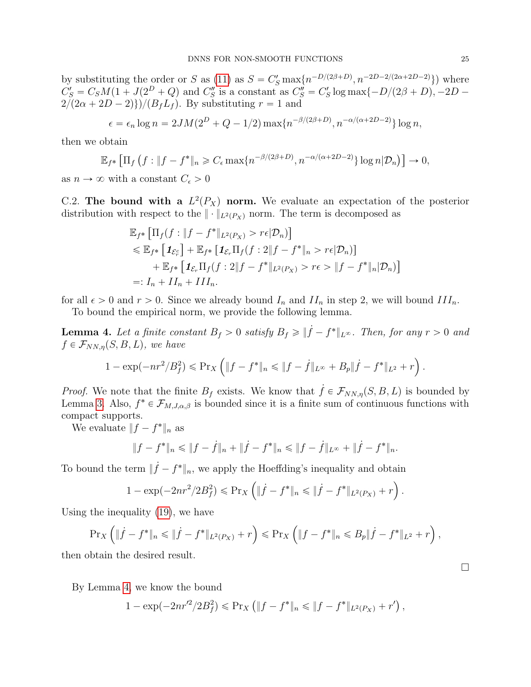by substituting the order or S as [\(11\)](#page-17-0) as  $S = C'_S \max\{n^{-D/(2\beta+D)}, n^{-2D-2/(2\alpha+2D-2)}\}\)$  where  $C'_S = C_S M(1 + J(2^D + Q)$  and  $C''_S$  is a constant as  $C''_S = C'_S \log \max\{-D/(2\beta + D), -2D - D\}$  $2/(2\alpha + 2D - 2)$ )/ $(B_fL_f)$ . By substituting  $r = 1$  and

$$
\epsilon = \epsilon_n \log n = 2JM(2^D + Q - 1/2) \max\{n^{-\beta/(2\beta + D)}, n^{-\alpha/(\alpha + 2D - 2)}\} \log n,
$$

then we obtain "

$$
\mathbb{E}_{f^*}\left[\Pi_f\left(f: \|f-f^*\|_n \geq C_{\epsilon} \max\{n^{-\beta/(2\beta+D)}, n^{-\alpha/(\alpha+2D-2)}\}\log n | \mathcal{D}_n\right)\right] \to 0,
$$

as  $n \to \infty$  with a constant  $C_{\epsilon} > 0$ 

C.2. The bound with a  $L^2(P_X)$  norm. We evaluate an expectation of the posterior distribution with respect to the  $\|\cdot\|_{L^2(P_X)}$  norm. The term is decomposed as  $\mathbb{L}$   $\mathbb{L}$   $\mathbb{L}$   $\mathbb{L}$   $\mathbb{L}$   $\mathbb{L}$   $\mathbb{L}$   $\mathbb{L}$   $\mathbb{L}$ 

$$
\mathbb{E}_{f^*} \left[ \Pi_f(f : \|f - f^*\|_{L^2(P_X)} > r\epsilon | \mathcal{D}_n) \right] \\
\leq \mathbb{E}_{f^*} \left[ \mathbf{1}_{\mathcal{E}_r^c} \right] + \mathbb{E}_{f^*} \left[ \mathbf{1}_{\mathcal{E}_r} \Pi_f(f : 2 \| f - f^* \|_n > r\epsilon | \mathcal{D}_n) \right] \\
+ \mathbb{E}_{f^*} \left[ \mathbf{1}_{\mathcal{E}_r} \Pi_f(f : 2 \| f - f^* \|_{L^2(P_X)} > r\epsilon > \| f - f^* \|_n | \mathcal{D}_n) \right] \\
=: I_n + II_n + III_n.
$$

for all  $\epsilon > 0$  and  $r > 0$ . Since we already bound  $I_n$  and  $II_n$  in step 2, we will bound  $III_n$ .

To bound the empirical norm, we provide the following lemma.

<span id="page-24-0"></span>**Lemma 4.** Let a finite constant  $B_f > 0$  satisfy  $B_f \ge ||\dot{f} - f^*||_{L^{\infty}}$ . Then, for any  $r > 0$  and  $f \in \mathcal{F}_{NN,\eta}(S, B, L)$ , we have ji<br>Li

$$
1 - \exp(-nr^2/B_f^2) \leqslant \Pr_X \left( \|f - f^*\|_n \leqslant \|f - \dot{f}\|_{L^\infty} + B_p \|\dot{f} - f^*\|_{L^2} + r \right).
$$

*Proof.* We note that the finite  $B_f$  exists. We know that  $\dot{f} \in \mathcal{F}_{NN,\eta}(S, B, L)$  is bounded by Lemma [3.](#page-18-0) Also,  $f^* \in \mathcal{F}_{M,J,\alpha,\beta}$  is bounded since it is a finite sum of continuous functions with compact supports.

We evaluate  $||f - f^*||_n$  as

$$
||f - f^*||_n \le ||f - f||_n + ||\dot{f} - f^*||_n \le ||f - \dot{f}||_{L^{\infty}} + ||\dot{f} - f^*||_n.
$$

To bound the term  $\|\dot{f} - f^*\|_n$ , we apply the Hoeffding's inequality and obtain  $\cdots$   $\cdots$ 

$$
1 - \exp(-2nr^2/2B_f^2) \le \Pr_X \left( \| \dot{f} - f^* \|_n \le \| \dot{f} - f^* \|_{L^2(P_X)} + r \right).
$$

Using the inequality [\(19\)](#page-20-3), we have ´

$$
\Pr_X \left( \| \dot{f} - f^* \|_n \leq \| \dot{f} - f^* \|_{L^2(P_X)} + r \right) \leq \Pr_X \left( \| f - f^* \|_n \leq B_p \| \dot{f} - f^* \|_{L^2} + r \right),
$$

then obtain the desired result.

By Lemma [4,](#page-24-0) we know the bound

$$
1 - \exp(-2nr'^2/2B_f^2) \le \Pr_X \left( \|f - f^*\|_n \le \|f - f^*\|_{L^2(P_X)} + r' \right),
$$

 $\Box$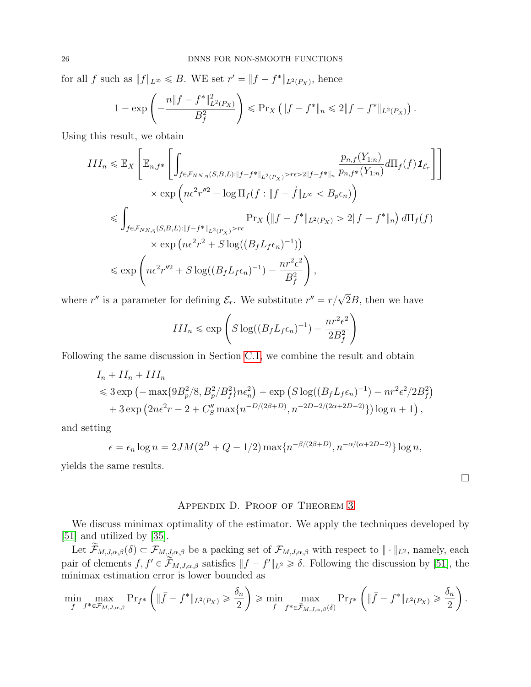for all f such as  $||f||_{L^{\infty}} \leq B$ . WE set  $r' = ||f - f^*||_{L^2(P_X)}$ , hence į,

$$
1 - \exp\left(-\frac{n\|f - f^*\|_{L^2(P_X)}^2}{B_f^2}\right) \leqslant \Pr_X \left(\|f - f^*\|_n \leqslant 2\|f - f^*\|_{L^2(P_X)}\right).
$$

Using this result, we obtain

$$
III_n \leq \mathbb{E}_X \left[ \mathbb{E}_{n, f^*} \left[ \int_{f \in \mathcal{F}_{NN,\eta}(S,B,L): \|f - f^*\|_{L^2(P_X)} > r\epsilon > 2\|f - f^*\|_n} \frac{p_{n, f}(Y_{1:n})}{p_{n, f^*}(Y_{1:n})} d\Pi_f(f) \mathbf{1}_{\mathcal{E}_r} \right] \right]
$$
  

$$
\times \exp \left( n\epsilon^2 r''^2 - \log \Pi_f(f : \|f - f\|_{L^\infty} < B_p \epsilon_n) \right)
$$
  

$$
\leq \int_{f \in \mathcal{F}_{NN,\eta}(S,B,L): \|f - f^*\|_{L^2(P_X)} > r\epsilon} \Pr_X \left( \|f - f^*\|_{L^2(P_X)} > 2\|f - f^*\|_n \right) d\Pi_f(f)
$$
  

$$
\times \exp \left( n\epsilon^2 r^2 + S \log((B_f L_f \epsilon_n)^{-1}) \right)
$$
  

$$
\leq \exp \left( n\epsilon^2 r''^2 + S \log((B_f L_f \epsilon_n)^{-1}) - \frac{nr^2 \epsilon^2}{B_f^2} \right),
$$

where  $r''$  is a parameter for defining  $\mathcal{E}_r$ . We substitute  $r'' = r/$ 2B, then we have ¸

$$
III_n \le \exp\left(S\log((B_f L_f \epsilon_n)^{-1}) - \frac{nr^2\epsilon^2}{2B_f^2}\right)
$$

Following the same discussion in Section [C.1,](#page-21-0) we combine the result and obtain

$$
I_n + II_n + III_n
$$
  
\$\leq 3 \exp \left(-\max\{9B\_p^2/8, B\_p^2/B\_f^2\}n\epsilon\_n^2\right) + \exp \left(S \log((B\_f L\_f \epsilon\_n)^{-1}) - nr^2\epsilon^2/2B\_f^2\right) \$  
+ 3 \exp \left(2n\epsilon^2r - 2 + C''\_S \max\{n^{-D/(2\beta+D)}, n^{-2D-2/(2\alpha+2D-2)}\}\right) \log n + 1},

and setting

$$
\epsilon = \epsilon_n \log n = 2JM(2^D + Q - 1/2) \max\{n^{-\beta/(2\beta + D)}, n^{-\alpha/(\alpha + 2D - 2)}\} \log n,
$$

yields the same results.

## Appendix D. Proof of Theorem [3](#page-7-0)

 $\Box$ 

We discuss minimax optimality of the estimator. We apply the techniques developed by [\[51\]](#page-12-8) and utilized by [\[35\]](#page-11-21).

Let  $\widetilde{\mathcal{F}}_{M,J,\alpha,\beta}(\delta) \subset \mathcal{F}_{M,J,\alpha,\beta}$  be a packing set of  $\mathcal{F}_{M,J,\alpha,\beta}$  with respect to  $\|\cdot\|_{L^2}$ , namely, each pair of elements  $f, f' \in \mathcal{F}_{M,J,\alpha,\beta}$  satisfies  $||f - f'||_{L^2} \ge \delta$ . Following the discussion by [\[51\]](#page-12-8), the minimax estimation error is lower bounded as ˆ

$$
\min_{\bar{f}} \max_{f^* \in \mathcal{F}_{M,J,\alpha,\beta}} \Pr_{f^*} \left( \| \bar{f} - f^* \|_{L^2(P_X)} \geq \frac{\delta_n}{2} \right) \geqslant \min_{\bar{f}} \max_{f^* \in \widetilde{\mathcal{F}}_{M,J,\alpha,\beta}(\delta)} \Pr_{f^*} \left( \| \bar{f} - f^* \|_{L^2(P_X)} \geq \frac{\delta_n}{2} \right).
$$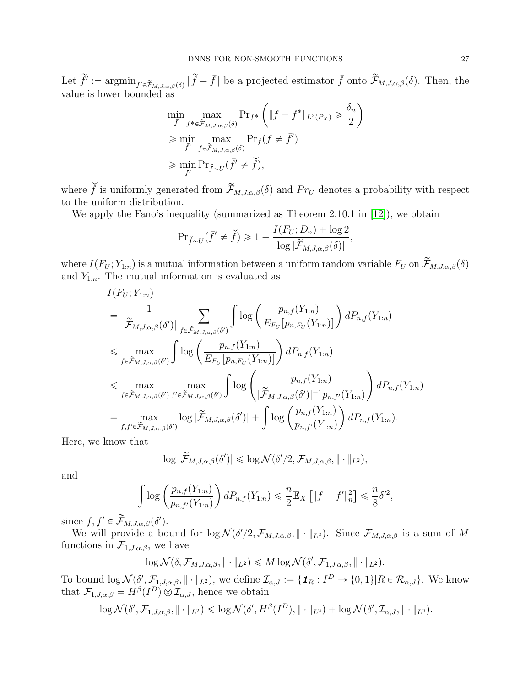Let  $\tilde{f}' := \operatorname{argmin}_{f' \in \tilde{\mathcal{F}}_{M,J,\alpha,\beta}(\delta)} \|\tilde{f} - \bar{f}\|$  be a projected estimator  $\bar{f}$  onto  $\tilde{\mathcal{F}}_{M,J,\alpha,\beta}(\delta)$ . Then, the value is lower bounded as ˆ ˙

$$
\min_{\bar{f}} \max_{f^* \in \tilde{\mathcal{F}}_{M,J,\alpha,\beta}(\delta)} \Pr_{f^*} \left( \| \bar{f} - f^* \|_{L^2(P_X)} \geq \frac{\delta_n}{2} \right)
$$
\n
$$
\geq \min_{\bar{f}'} \max_{f \in \tilde{\mathcal{F}}_{M,J,\alpha,\beta}(\delta)} \Pr_f(f \neq \bar{f}')
$$
\n
$$
\geq \min_{\bar{f}'} \Pr_{\tilde{f} \sim U} (\bar{f}' \neq \tilde{f}),
$$

where  $\check{f}$  is uniformly generated from  $\widetilde{\mathcal{F}}_{M,J,\alpha,\beta}(\delta)$  and  $Pr_U$  denotes a probability with respect to the uniform distribution.

We apply the Fano's inequality (summarized as Theorem 2.10.1 in [\[12\]](#page-10-13)), we obtain

$$
\mathrm{Pr}_{\breve{f} \sim U}(\bar{f}' \neq \breve{f}) \geq 1 - \frac{I(F_U; D_n) + \log 2}{\log |\widetilde{\mathcal{F}}_{M,J,\alpha,\beta}(\delta)|},
$$

where  $I(F_U; Y_{1:n})$  is a mutual information between a uniform random variable  $F_U$  on  $\widetilde{\mathcal{F}}_{M,J,\alpha,\beta}(\delta)$ and  $Y_{1:n}$ . The mutual information is evaluated as

$$
I(F_U; Y_{1:n})
$$
\n
$$
= \frac{1}{|\widetilde{\mathcal{F}}_{M,J,\alpha,\beta}(\delta')|} \sum_{f \in \widetilde{\mathcal{F}}_{M,J,\alpha,\beta}(\delta')} \int \log \left( \frac{p_{n,f}(Y_{1:n})}{E_{F_U}[p_{n,F_U}(Y_{1:n})]} \right) dP_{n,f}(Y_{1:n})
$$
\n
$$
\leq \max_{f \in \widetilde{\mathcal{F}}_{M,J,\alpha,\beta}(\delta')} \int \log \left( \frac{p_{n,f}(Y_{1:n})}{E_{F_U}[p_{n,F_U}(Y_{1:n})]} \right) dP_{n,f}(Y_{1:n})
$$
\n
$$
\leq \max_{f \in \widetilde{\mathcal{F}}_{M,J,\alpha,\beta}(\delta')} \max_{f' \in \widetilde{\mathcal{F}}_{M,J,\alpha,\beta}(\delta')} \int \log \left( \frac{p_{n,f}(Y_{1:n})}{|\widetilde{\mathcal{F}}_{M,J,\alpha,\beta}(\delta')|^{-1}p_{n,f'}(Y_{1:n})} \right) dP_{n,f}(Y_{1:n})
$$
\n
$$
= \max_{f, f' \in \widetilde{\mathcal{F}}_{M,J,\alpha,\beta}(\delta')} \log |\widetilde{\mathcal{F}}_{M,J,\alpha,\beta}(\delta')| + \int \log \left( \frac{p_{n,f}(Y_{1:n})}{p_{n,f'}(Y_{1:n})} \right) dP_{n,f}(Y_{1:n}).
$$

Here, we know that

$$
\log|\widetilde{\mathcal{F}}_{M,J,\alpha,\beta}(\delta')| \leq \log \mathcal{N}(\delta'/2,\mathcal{F}_{M,J,\alpha,\beta},\|\cdot\|_{L^2}),
$$

and

$$
\int \log \left( \frac{p_{n,f}(Y_{1:n})}{p_{n,f'}(Y_{1:n})} \right) dP_{n,f}(Y_{1:n}) \leq \frac{n}{2} \mathbb{E}_X \left[ \|f - f'\|_n^2 \right] \leq \frac{n}{8} \delta'^2,
$$

since  $f, f' \in \widetilde{\mathcal{F}}_{M,J,\alpha,\beta}(\delta').$ 

We will provide a bound for  $\log \mathcal{N}(\delta'/2, \mathcal{F}_{M,J,\alpha,\beta}, \| \cdot \|_{L^2})$ . Since  $\mathcal{F}_{M,J,\alpha,\beta}$  is a sum of M functions in  $\mathcal{F}_{1,J,\alpha,\beta}$ , we have

$$
\log \mathcal{N}(\delta, \mathcal{F}_{M,J,\alpha,\beta}, \|\cdot\|_{L^2}) \leq M \log \mathcal{N}(\delta', \mathcal{F}_{1,J,\alpha,\beta}, \|\cdot\|_{L^2}).
$$

To bound  $\log \mathcal{N}(\delta', \mathcal{F}_{1,J,\alpha,\beta}, \| \cdot \|_{L^2})$ , we define  $\mathcal{I}_{\alpha,J} := \{ \mathbf{1}_R : I^D \to \{0,1\} | R \in \mathcal{R}_{\alpha,J} \}$ . We know that  $\mathcal{F}_{1,J,\alpha,\beta} = H^{\beta}(I^D) \otimes \mathcal{I}_{\alpha,J}$ , hence we obtain

$$
\log \mathcal{N}(\delta', \mathcal{F}_{1,J,\alpha,\beta}, \|\cdot\|_{L^2}) \leqslant \log \mathcal{N}(\delta', H^{\beta}(I^D), \|\cdot\|_{L^2}) + \log \mathcal{N}(\delta', \mathcal{I}_{\alpha,J}, \|\cdot\|_{L^2}).
$$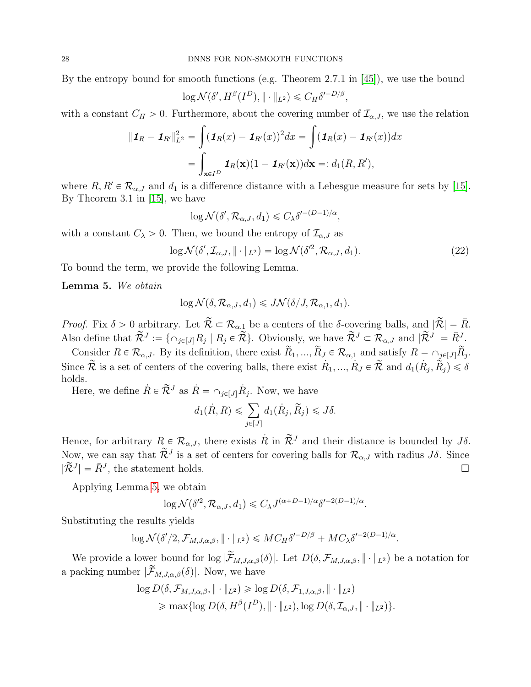By the entropy bound for smooth functions (e.g. Theorem 2.7.1 in [\[45\]](#page-12-13)), we use the bound

$$
\log \mathcal{N}(\delta', H^{\beta}(I^D), \|\cdot\|_{L^2}) \leq C_H \delta'^{-D/\beta},
$$

with a constant  $C_H > 0$ . Furthermore, about the covering number of  $\mathcal{I}_{\alpha,J}$ , we use the relation

$$
\|\mathbf{1}_R - \mathbf{1}_{R'}\|_{L^2}^2 = \int (\mathbf{1}_R(x) - \mathbf{1}_{R'}(x))^2 dx = \int (\mathbf{1}_R(x) - \mathbf{1}_{R'}(x)) dx
$$

$$
= \int_{\mathbf{x} \in I^D} \mathbf{1}_R(\mathbf{x})(1 - \mathbf{1}_{R'}(\mathbf{x})) d\mathbf{x} =: d_1(R, R'),
$$

where  $R, R' \in \mathcal{R}_{\alpha,J}$  and  $d_1$  is a difference distance with a Lebesgue measure for sets by [\[15\]](#page-11-16). By Theorem 3.1 in [\[15\]](#page-11-16), we have

<span id="page-27-1"></span>
$$
\log \mathcal{N}(\delta', \mathcal{R}_{\alpha,J}, d_1) \leq C_{\lambda} \delta'^{-(D-1)/\alpha},
$$

with a constant  $C_{\lambda} > 0$ . Then, we bound the entropy of  $\mathcal{I}_{\alpha,J}$  as

$$
\log \mathcal{N}(\delta', \mathcal{I}_{\alpha,J}, \|\cdot\|_{L^2}) = \log \mathcal{N}(\delta'^2, \mathcal{R}_{\alpha,J}, d_1). \tag{22}
$$

To bound the term, we provide the following Lemma.

<span id="page-27-0"></span>Lemma 5. We obtain

$$
\log \mathcal{N}(\delta, \mathcal{R}_{\alpha,J}, d_1) \leqslant J \mathcal{N}(\delta/J, \mathcal{R}_{\alpha,1}, d_1).
$$

*Proof.* Fix  $\delta > 0$  arbitrary. Let  $\widetilde{\mathcal{R}} \subset \mathcal{R}_{\alpha,1}$  be a centers of the  $\delta$ -covering balls, and  $|\widetilde{\mathcal{R}}| = \overline{R}$ . Also define that  $\widetilde{\mathcal{R}}^J := \{ \cap_{j \in [J]} R_j \mid R_j \in \widetilde{\mathcal{R}} \}$ . Obviously, we have  $\widetilde{\mathcal{R}}^J \subset \widetilde{\mathcal{R}}_{\alpha,J}$  and  $|\widetilde{\mathcal{R}}^J| = \overline{R}^J$ .

Consider  $R \in \mathcal{R}_{\alpha,J}$ . By its definition, there exist  $\widetilde{R}_1, ..., \widetilde{R}_J \in \mathcal{R}_{\alpha,1}$  and satisfy  $R = \bigcap_{j\in [J]} \widetilde{R}_j$ . Since  $\widetilde{\mathcal{R}}$  is a set of centers of the covering balls, there exist  $R_1, ..., R_J \in \widetilde{\mathcal{R}}$  and  $d_1(R_j, \widetilde{R}_j) \leq \delta$ holds.

Here, we define  $\dot{R} \in \tilde{\mathcal{R}}^J$  as  $\dot{R} = \bigcap_{j \in [J]} \dot{R}_j$ . Now, we have

$$
d_1(\dot{R}, R) \leqslant \sum_{j \in [J]} d_1(\dot{R}_j, \tilde{R}_j) \leqslant J\delta.
$$

Hence, for arbitrary  $R \in \mathcal{R}_{\alpha,J}$ , there exists  $\dot{R}$  in  $\tilde{\mathcal{R}}^J$  and their distance is bounded by  $J\delta$ . Now, we can say that  $\widetilde{\mathcal{R}}^J$  is a set of centers for covering balls for  $\mathcal{R}_{\alpha,J}$  with radius  $J\delta$ . Since  $|\tilde{\mathcal{R}}^{J}| = \bar{R}^{J}$ , the statement holds.

Applying Lemma [5,](#page-27-0) we obtain

$$
\log \mathcal{N}(\delta^{\prime 2}, \mathcal{R}_{\alpha,J}, d_1) \leq C_{\lambda} J^{(\alpha+D-1)/\alpha} \delta^{\prime - 2(D-1)/\alpha}.
$$

Substituting the results yields

$$
\log \mathcal{N}(\delta'/2, \mathcal{F}_{M,J,\alpha,\beta}, \|\cdot\|_{L^2}) \leqslant M C_H \delta'^{-D/\beta} + M C_{\lambda} \delta'^{-2(D-1)/\alpha}.
$$

We provide a lower bound for  $\log |\widetilde{\mathcal{F}}_{M,J,\alpha,\beta}(\delta)|$ . Let  $D(\delta, \mathcal{F}_{M,J,\alpha,\beta}, || \cdot ||_{L^2})$  be a notation for a packing number  $|\widetilde{\mathcal{F}}_{M,J,\alpha,\beta}(\delta)|$ . Now, we have

$$
\log D(\delta, \mathcal{F}_{M,J,\alpha,\beta}, \|\cdot\|_{L^2}) \geq \log D(\delta, \mathcal{F}_{1,J,\alpha,\beta}, \|\cdot\|_{L^2})
$$
  

$$
\geq \max\{\log D(\delta, H^{\beta}(I^D), \|\cdot\|_{L^2}), \log D(\delta, \mathcal{I}_{\alpha,J}, \|\cdot\|_{L^2})\}.
$$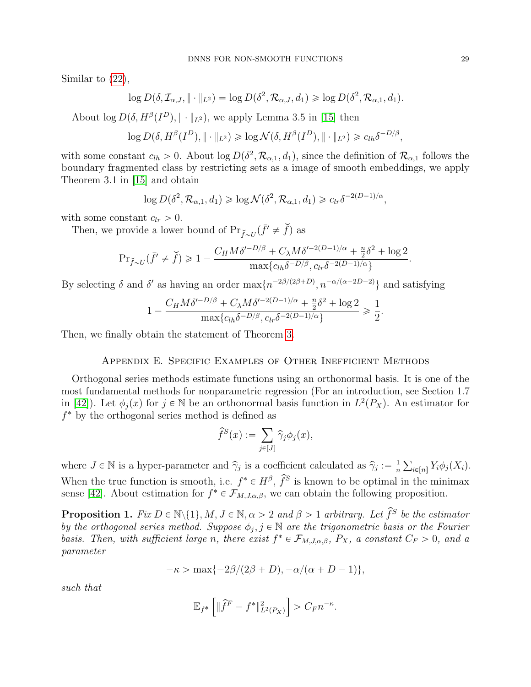Similar to [\(22\)](#page-27-1),

$$
\log D(\delta, \mathcal{I}_{\alpha,J}, \|\cdot\|_{L^2}) = \log D(\delta^2, \mathcal{R}_{\alpha,J}, d_1) \geq \log D(\delta^2, \mathcal{R}_{\alpha,1}, d_1).
$$

About  $\log D(\delta, H^{\beta}(I^D), \|\cdot\|_{L^2})$ , we apply Lemma 3.5 in [\[15\]](#page-11-16) then

$$
\log D(\delta, H^{\beta}(I^D), \|\cdot\|_{L^2}) \geq \log \mathcal{N}(\delta, H^{\beta}(I^D), \|\cdot\|_{L^2}) \geq c_{lh} \delta^{-D/\beta},
$$

with some constant  $c_{lh} > 0$ . About  $\log D(\delta^2, \mathcal{R}_{\alpha,1}, d_1)$ , since the definition of  $\mathcal{R}_{\alpha,1}$  follows the boundary fragmented class by restricting sets as a image of smooth embeddings, we apply Theorem 3.1 in [\[15\]](#page-11-16) and obtain

$$
\log D(\delta^2, \mathcal{R}_{\alpha,1}, d_1) \geq \log \mathcal{N}(\delta^2, \mathcal{R}_{\alpha,1}, d_1) \geq c_{lr} \delta^{-2(D-1)/\alpha},
$$

with some constant  $c_{lr} > 0$ .

Then, we provide a lower bound of  $Pr_{\check{f}\sim U}(\bar{f}' \neq \check{f})$  as

$$
\Pr_{\check{f}\sim U}(\bar{f}' \neq \check{f}) \geq 1 - \frac{C_H M \delta'^{-D/\beta} + C_\lambda M \delta'^{-2(D-1)/\alpha} + \frac{n}{2} \delta^2 + \log 2}{\max\{c_{lh} \delta^{-D/\beta}, c_{lr} \delta^{-2(D-1)/\alpha}\}}.
$$

By selecting  $\delta$  and  $\delta'$  as having an order  $\max\{n^{-2\beta/(2\beta+D)}, n^{-\alpha/(\alpha+2D-2)}\}\$  and satisfying

$$
1 - \frac{C_H M \delta^{\prime - D/\beta} + C_\lambda M \delta^{\prime - 2(D-1)/\alpha} + \frac{n}{2} \delta^2 + \log 2}{\max\{c_{lh} \delta^{-D/\beta}, c_{lr} \delta^{-2(D-1)/\alpha}\}} \ge \frac{1}{2}
$$

.

Then, we finally obtain the statement of Theorem [3.](#page-7-0)

#### Appendix E. Specific Examples of Other Inefficient Methods

Orthogonal series methods estimate functions using an orthonormal basis. It is one of the most fundamental methods for nonparametric regression (For an introduction, see Section 1.7 in [\[42\]](#page-12-4)). Let  $\phi_j(x)$  for  $j \in \mathbb{N}$  be an orthonormal basis function in  $L^2(P_X)$ . An estimator for f ˚ by the orthogonal series method is defined as  $\ddot{\phantom{1}}$ 

$$
\widehat{f}^S(x) := \sum_{j \in [J]} \widehat{\gamma}_j \phi_j(x),
$$

where  $J \in \mathbb{N}$  is a hyper-parameter and  $\hat{\gamma}_j$  is a coefficient calculated as  $\hat{\gamma}_j := \frac{1}{n}$ n  $_{i\in[n]}Y_i\phi_j(X_i).$ When the true function is smooth, i.e.  $f^* \in H^{\beta}$ ,  $\hat{f}^S$  is known to be optimal in the minimax sense [\[42\]](#page-12-4). About estimation for  $f^* \in \mathcal{F}_{M,J,\alpha,\beta}$ , we can obtain the following proposition.

<span id="page-28-0"></span>**Proposition 1.** Fix  $D \in \mathbb{N} \setminus \{1\}$ ,  $M, J \in \mathbb{N}$ ,  $\alpha > 2$  and  $\beta > 1$  arbitrary. Let  $\widehat{f}^S$  be the estimator by the orthogonal series method. Suppose  $\phi_j, j \in \mathbb{N}$  are the trigonometric basis or the Fourier basis. Then, with sufficient large n, there exist  $f^* \in \mathcal{F}_{M,J,\alpha,\beta}$ ,  $P_X$ , a constant  $C_F > 0$ , and a parameter

$$
-\kappa > \max\{-2\beta/(2\beta+D), -\alpha/(\alpha+D-1)\},\
$$

such that

$$
\mathbb{E}_{f^*}\left[\|\hat{f}^F - f^*\|_{L^2(P_X)}^2\right] > C_F n^{-\kappa}.
$$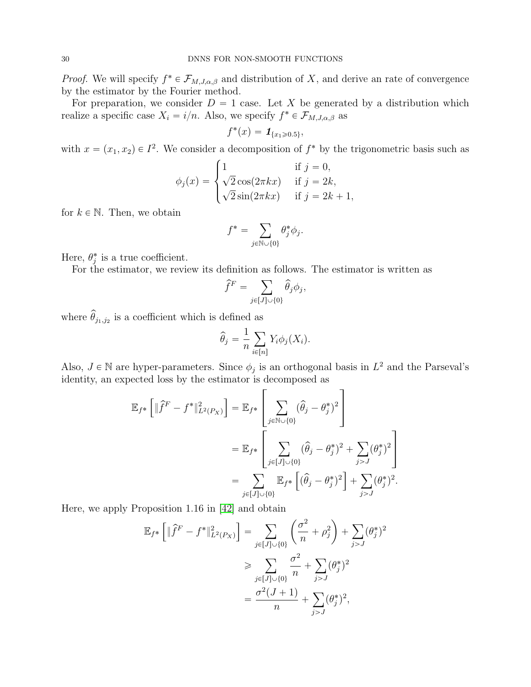*Proof.* We will specify  $f^* \in \mathcal{F}_{M,J,\alpha,\beta}$  and distribution of X, and derive an rate of convergence by the estimator by the Fourier method.

For preparation, we consider  $D = 1$  case. Let X be generated by a distribution which realize a specific case  $X_i = i/n$ . Also, we specify  $f^* \in \mathcal{F}_{M,J,\alpha,\beta}$  as

$$
f^*(x) = \mathbf{1}_{\{x_1 \ge 0.5\}},
$$

with  $x = (x_1, x_2) \in I^2$ . We consider a decomposition of  $f^*$  by the trigonometric basis such as

$$
\phi_j(x) = \begin{cases}\n1 & \text{if } j = 0, \\
\sqrt{2}\cos(2\pi kx) & \text{if } j = 2k, \\
\sqrt{2}\sin(2\pi kx) & \text{if } j = 2k + 1,\n\end{cases}
$$

for  $k \in \mathbb{N}$ . Then, we obtain

$$
f^* = \sum_{j \in \mathbb{N} \cup \{0\}} \theta_j^* \phi_j.
$$

Here,  $\theta_j^*$  is a true coefficient.

For the estimator, we review its definition as follows. The estimator is written as

$$
\widehat{f}^F = \sum_{j \in [J] \cup \{0\}} \widehat{\theta}_j \phi_j,
$$

where  $\widehat{\theta}_{j_1, j_2}$  is a coefficient which is defined as

$$
\widehat{\theta}_j = \frac{1}{n} \sum_{i \in [n]} Y_i \phi_j(X_i).
$$

Also,  $J \in \mathbb{N}$  are hyper-parameters. Since  $\phi_j$  is an orthogonal basis in  $L^2$  and the Parseval's identity, an expected loss by the estimator is decomposed as film and the state of the state of the state of the state of the state of the state of the state of the state

$$
\mathbb{E}_{f^*} \left[ \| \hat{f}^F - f^* \|^2_{L^2(P_X)} \right] = \mathbb{E}_{f^*} \left[ \sum_{j \in \mathbb{N} \cup \{0\}} (\hat{\theta}_j - \theta_j^*)^2 \right]
$$
  
\n
$$
= \mathbb{E}_{f^*} \left[ \sum_{j \in [J] \cup \{0\}} (\hat{\theta}_j - \theta_j^*)^2 + \sum_{j > J} (\theta_j^*)^2 \right]
$$
  
\n
$$
= \sum_{j \in [J] \cup \{0\}} \mathbb{E}_{f^*} \left[ (\hat{\theta}_j - \theta_j^*)^2 \right] + \sum_{j > J} (\theta_j^*)^2.
$$

Here, we apply Proposition 1.16 in [\[42\]](#page-12-4) and obtain

$$
\mathbb{E}_{f^*} \left[ \| \hat{f}^F - f^* \|_{L^2(P_X)}^2 \right] = \sum_{j \in [J] \cup \{0\}} \left( \frac{\sigma^2}{n} + \rho_j^2 \right) + \sum_{j > J} (\theta_j^*)^2
$$
\n
$$
\geq \sum_{j \in [J] \cup \{0\}} \frac{\sigma^2}{n} + \sum_{j > J} (\theta_j^*)^2
$$
\n
$$
= \frac{\sigma^2 (J+1)}{n} + \sum_{j > J} (\theta_j^*)^2,
$$